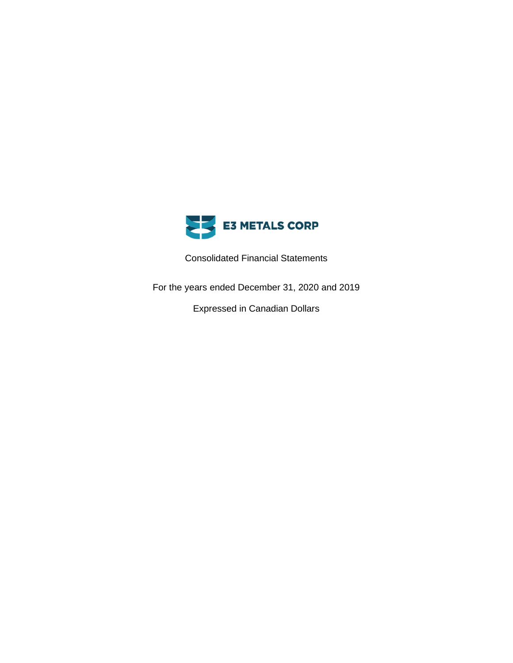

Consolidated Financial Statements

For the years ended December 31, 2020 and 2019

Expressed in Canadian Dollars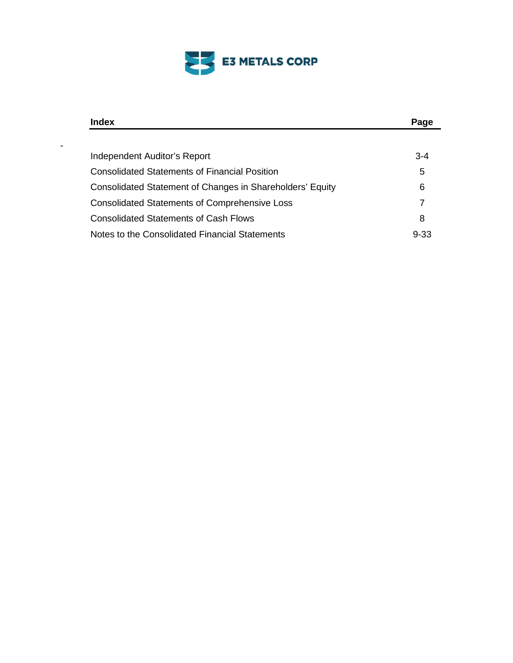

| Page     |
|----------|
|          |
| $3 - 4$  |
| 5        |
| 6        |
| 7        |
| 8        |
| $9 - 33$ |
|          |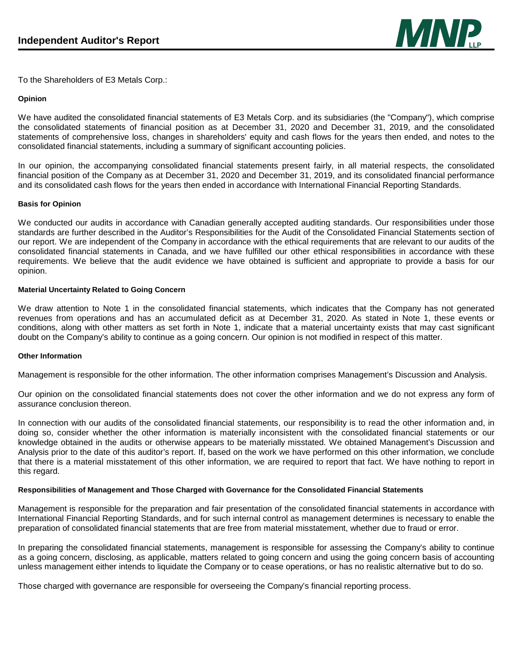

To the Shareholders of E3 Metals Corp.:

#### **Opinion**

We have audited the consolidated financial statements of E3 Metals Corp. and its subsidiaries (the "Company"), which comprise the consolidated statements of financial position as at December 31, 2020 and December 31, 2019, and the consolidated statements of comprehensive loss, changes in shareholders' equity and cash flows for the years then ended, and notes to the consolidated financial statements, including a summary of significant accounting policies.

In our opinion, the accompanying consolidated financial statements present fairly, in all material respects, the consolidated financial position of the Company as at December 31, 2020 and December 31, 2019, and its consolidated financial performance and its consolidated cash flows for the years then ended in accordance with International Financial Reporting Standards.

## **Basis for Opinion**

We conducted our audits in accordance with Canadian generally accepted auditing standards. Our responsibilities under those standards are further described in the Auditor's Responsibilities for the Audit of the Consolidated Financial Statements section of our report. We are independent of the Company in accordance with the ethical requirements that are relevant to our audits of the consolidated financial statements in Canada, and we have fulfilled our other ethical responsibilities in accordance with these requirements. We believe that the audit evidence we have obtained is sufficient and appropriate to provide a basis for our opinion.

#### **Material Uncertainty Related to Going Concern**

We draw attention to Note 1 in the consolidated financial statements, which indicates that the Company has not generated revenues from operations and has an accumulated deficit as at December 31, 2020. As stated in Note 1, these events or conditions, along with other matters as set forth in Note 1, indicate that a material uncertainty exists that may cast significant doubt on the Company's ability to continue as a going concern. Our opinion is not modified in respect of this matter.

#### **Other Information**

Management is responsible for the other information. The other information comprises Management's Discussion and Analysis.

Our opinion on the consolidated financial statements does not cover the other information and we do not express any form of assurance conclusion thereon.

In connection with our audits of the consolidated financial statements, our responsibility is to read the other information and, in doing so, consider whether the other information is materially inconsistent with the consolidated financial statements or our knowledge obtained in the audits or otherwise appears to be materially misstated. We obtained Management's Discussion and Analysis prior to the date of this auditor's report. If, based on the work we have performed on this other information, we conclude that there is a material misstatement of this other information, we are required to report that fact. We have nothing to report in this regard.

#### **Responsibilities of Management and Those Charged with Governance for the Consolidated Financial Statements**

Management is responsible for the preparation and fair presentation of the consolidated financial statements in accordance with International Financial Reporting Standards, and for such internal control as management determines is necessary to enable the preparation of consolidated financial statements that are free from material misstatement, whether due to fraud or error.

In preparing the consolidated financial statements, management is responsible for assessing the Company's ability to continue as a going concern, disclosing, as applicable, matters related to going concern and using the going concern basis of accounting unless management either intends to liquidate the Company or to cease operations, or has no realistic alternative but to do so.

Those charged with governance are responsible for overseeing the Company's financial reporting process.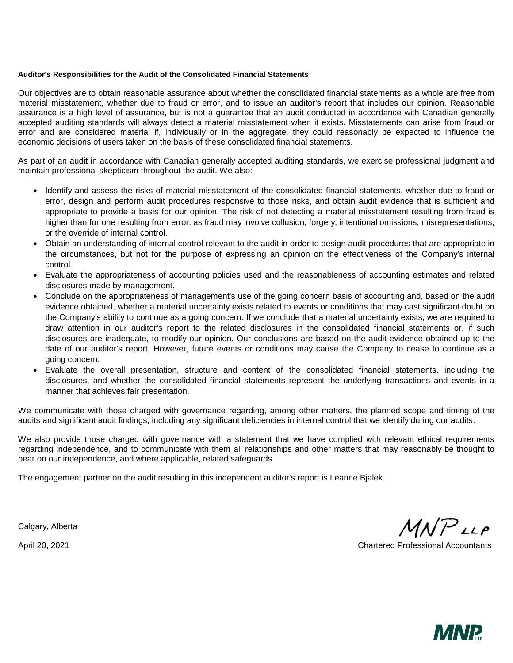#### **Auditor's Responsibilities for the Audit of the Consolidated Financial Statements**

Our objectives are to obtain reasonable assurance about whether the consolidated financial statements as a whole are free from material misstatement, whether due to fraud or error, and to issue an auditor's report that includes our opinion. Reasonable assurance is a high level of assurance, but is not a guarantee that an audit conducted in accordance with Canadian generally accepted auditing standards will always detect a material misstatement when it exists. Misstatements can arise from fraud or error and are considered material if, individually or in the aggregate, they could reasonably be expected to influence the economic decisions of users taken on the basis of these consolidated financial statements.

As part of an audit in accordance with Canadian generally accepted auditing standards, we exercise professional judgment and maintain professional skepticism throughout the audit. We also:

- Identify and assess the risks of material misstatement of the consolidated financial statements, whether due to fraud or error, design and perform audit procedures responsive to those risks, and obtain audit evidence that is sufficient and appropriate to provide a basis for our opinion. The risk of not detecting a material misstatement resulting from fraud is higher than for one resulting from error, as fraud may involve collusion, forgery, intentional omissions, misrepresentations, or the override of internal control.
- Obtain an understanding of internal control relevant to the audit in order to design audit procedures that are appropriate in the circumstances, but not for the purpose of expressing an opinion on the effectiveness of the Company's internal control.
- Evaluate the appropriateness of accounting policies used and the reasonableness of accounting estimates and related disclosures made by management.
- Conclude on the appropriateness of management's use of the going concern basis of accounting and, based on the audit evidence obtained, whether a material uncertainty exists related to events or conditions that may cast significant doubt on the Company's ability to continue as a going concern. If we conclude that a material uncertainty exists, we are required to draw attention in our auditor's report to the related disclosures in the consolidated financial statements or, if such disclosures are inadequate, to modify our opinion. Our conclusions are based on the audit evidence obtained up to the date of our auditor's report. However, future events or conditions may cause the Company to cease to continue as a going concern.
- Evaluate the overall presentation, structure and content of the consolidated financial statements, including the disclosures, and whether the consolidated financial statements represent the underlying transactions and events in a manner that achieves fair presentation.

We communicate with those charged with governance regarding, among other matters, the planned scope and timing of the audits and significant audit findings, including any significant deficiencies in internal control that we identify during our audits.

We also provide those charged with governance with a statement that we have complied with relevant ethical requirements regarding independence, and to communicate with them all relationships and other matters that may reasonably be thought to bear on our independence, and where applicable, related safeguards.

The engagement partner on the audit resulting in this independent auditor's report is Leanne Bjalek.

Calgary, Alberta

 $M N P$ LLP

April 20, 2021 Chartered Professional Accountants

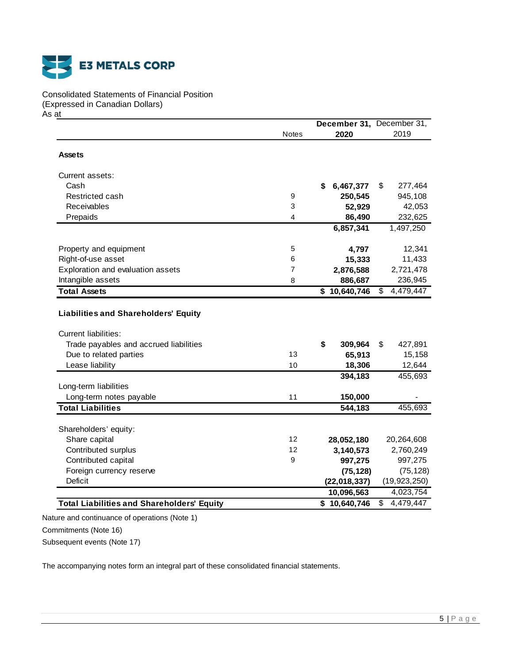

### Consolidated Statements of Financial Position (Expressed in Canadian Dollars) As at

|                                                                            |                | December 31, December 31, |                 |
|----------------------------------------------------------------------------|----------------|---------------------------|-----------------|
|                                                                            | <b>Notes</b>   | 2020                      | 2019            |
|                                                                            |                |                           |                 |
| <b>Assets</b>                                                              |                |                           |                 |
| Current assets:                                                            |                |                           |                 |
| Cash                                                                       |                | \$<br>6,467,377           | \$<br>277,464   |
| Restricted cash                                                            | 9              | 250,545                   | 945,108         |
| Receivables                                                                | 3              | 52,929                    | 42,053          |
| Prepaids                                                                   | 4              | 86,490                    | 232,625         |
|                                                                            |                | 6,857,341                 | 1,497,250       |
| Property and equipment                                                     | 5              | 4,797                     | 12,341          |
| Right-of-use asset                                                         | 6              | 15,333                    | 11,433          |
| Exploration and evaluation assets                                          | $\overline{7}$ | 2,876,588                 | 2,721,478       |
| Intangible assets                                                          | 8              | 886,687                   | 236,945         |
| <b>Total Assets</b>                                                        |                | \$<br>10,640,746          | 4,479,447<br>\$ |
| <b>Liabilities and Shareholders' Equity</b><br><b>Current liabilities:</b> |                |                           |                 |
| Trade payables and accrued liabilities                                     |                | \$<br>309,964             | S<br>427,891    |
| Due to related parties                                                     | 13             | 65,913                    | 15,158          |
| Lease liability                                                            | 10             | 18,306                    | 12,644          |
| Long-term liabilities                                                      |                | 394,183                   | 455,693         |
| Long-term notes payable                                                    | 11             | 150,000                   |                 |
| <b>Total Liabilities</b>                                                   |                | 544,183                   | 455,693         |
|                                                                            |                |                           |                 |
| Shareholders' equity:                                                      |                |                           |                 |
| Share capital                                                              | 12             | 28,052,180                | 20,264,608      |
| Contributed surplus                                                        | 12             | 3,140,573                 | 2,760,249       |
| Contributed capital                                                        | 9              | 997,275                   | 997,275         |
| Foreign currency reserve                                                   |                | (75, 128)                 | (75, 128)       |
| <b>Deficit</b>                                                             |                | (22,018,337)              | (19, 923, 250)  |
|                                                                            |                | 10,096,563                | 4,023,754       |
| <b>Total Liabilities and Shareholders' Equity</b>                          |                | \$10,640,746              | \$<br>4,479,447 |

Nature and continuance of operations (Note 1) Commitments (Note 16)

Subsequent events (Note 17)

The accompanying notes form an integral part of these consolidated financial statements.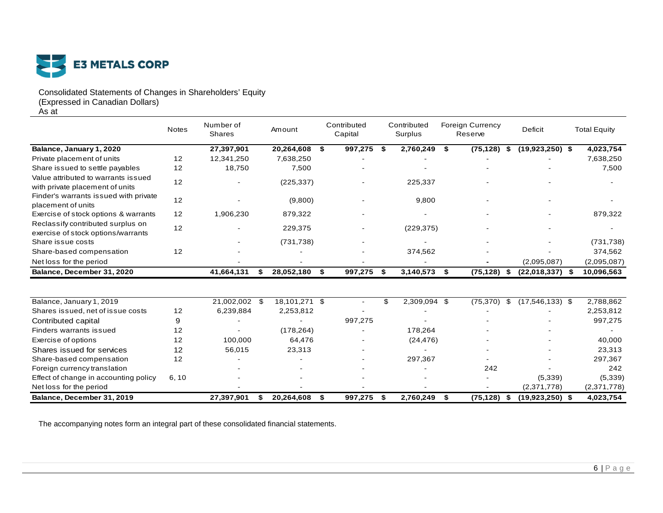

Consolidated Statements of Changes in Shareholders' Equity

(Expressed in Canadian Dollars)

As at

|                                                                         | <b>Notes</b> | Number of<br>Shares | Amount                |      | Contributed<br>Capital |    | Contributed<br>Surplus |   | <b>Foreign Currency</b><br>Reserve |    | Deficit           | <b>Total Equity</b> |
|-------------------------------------------------------------------------|--------------|---------------------|-----------------------|------|------------------------|----|------------------------|---|------------------------------------|----|-------------------|---------------------|
| Balance, January 1, 2020                                                |              | 27,397,901          | 20,264,608            | - \$ | 997,275                | S  | 2,760,249              | S | (75, 128)                          | S  | $(19,923,250)$ \$ | 4,023,754           |
| Private placement of units                                              | 12           | 12,341,250          | 7,638,250             |      |                        |    |                        |   |                                    |    |                   | 7,638,250           |
| Share issued to settle payables                                         | 12           | 18,750              | 7,500                 |      |                        |    |                        |   |                                    |    |                   | 7,500               |
| Value attributed to warrants issued<br>with private placement of units  | 12           |                     | (225, 337)            |      |                        |    | 225,337                |   |                                    |    |                   |                     |
| Finder's warrants issued with private<br>placement of units             | 12           |                     | (9,800)               |      |                        |    | 9,800                  |   |                                    |    |                   |                     |
| Exercise of stock options & warrants                                    | 12           | 1,906,230           | 879,322               |      |                        |    |                        |   |                                    |    |                   | 879,322             |
| Reclassify contributed surplus on<br>exercise of stock options/warrants | 12           |                     | 229,375               |      |                        |    | (229, 375)             |   |                                    |    |                   |                     |
| Share issue costs                                                       |              |                     | (731, 738)            |      |                        |    |                        |   | $\sim$                             |    |                   | (731, 738)          |
| Share-based compensation                                                | 12           |                     |                       |      |                        |    | 374,562                |   |                                    |    |                   | 374,562             |
| Net loss for the period                                                 |              |                     |                       |      |                        |    |                        |   |                                    |    | (2,095,087)       | (2,095,087)         |
| Balance, December 31, 2020                                              |              | 41,664,131          | 28,052,180            | S    | 997,275                | S  | 3,140,573              |   | (75, 128)                          |    | (22,018,337)      | 10,096,563          |
|                                                                         |              |                     |                       |      |                        |    |                        |   |                                    |    |                   |                     |
| Balance, January 1, 2019                                                |              | 21,002,002          | 18, 101, 271 \$<br>\$ |      |                        | \$ | 2,309,094 \$           |   | (75, 370)                          | \$ | $(17,546,133)$ \$ | 2,788,862           |
| Shares issued, net of issue costs                                       | 12           | 6,239,884           | 2,253,812             |      |                        |    |                        |   |                                    |    |                   | 2,253,812           |
| Contributed capital                                                     | 9            |                     |                       |      | 997,275                |    |                        |   |                                    |    |                   | 997,275             |
| Finders warrants issued                                                 | 12           |                     | (178, 264)            |      |                        |    | 178,264                |   |                                    |    |                   |                     |

| Balance, December 31, 2019            |      | 27,397,901 | 20.264.608 | 997,275 | 2.760.249 | (75, 128) | $(19,923,250)$ \$ | 4,023,754   |
|---------------------------------------|------|------------|------------|---------|-----------|-----------|-------------------|-------------|
| Net loss for the period               |      |            |            |         |           |           | (2,371,778)       | (2,371,778) |
| Effect of change in accounting policy | 6.10 |            |            |         |           |           | (5,339)           | (5,339)     |
| Foreign currency translation          |      |            |            |         |           | 242       |                   | 242         |
| Share-based compensation              | 12   |            |            |         | 297,367   |           |                   | 297,367     |
| Shares issued for services            | 12   | 56.015     | 23.313     |         |           |           |                   | 23.313      |
| Exercise of options                   | 12   | 100,000    | 64,476     |         | (24, 476) |           |                   | 40,000      |

The accompanying notes form an integral part of these consolidated financial statements.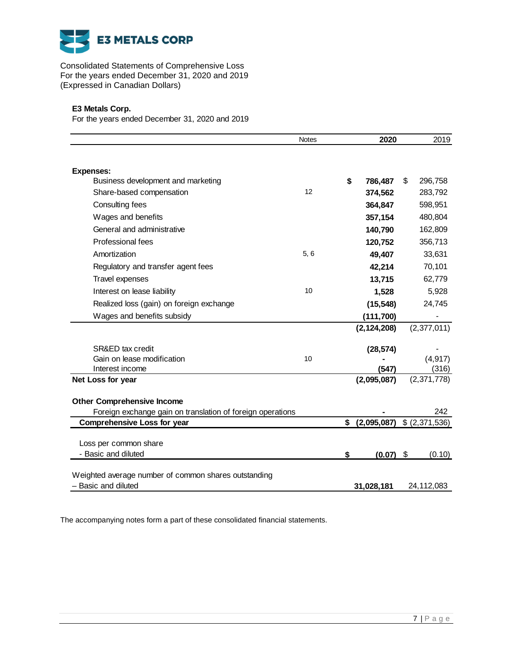

Consolidated Statements of Comprehensive Loss For the years ended December 31, 2020 and 2019 (Expressed in Canadian Dollars)

## **E3 Metals Corp.**

For the years ended December 31, 2020 and 2019

|                                                            | <b>Notes</b> | 2020              |      | 2019             |
|------------------------------------------------------------|--------------|-------------------|------|------------------|
|                                                            |              |                   |      |                  |
| <b>Expenses:</b>                                           |              |                   |      |                  |
| Business development and marketing                         |              | \$<br>786,487     | \$   | 296,758          |
| Share-based compensation                                   | 12           | 374,562           |      | 283,792          |
| Consulting fees                                            |              | 364,847           |      | 598,951          |
| Wages and benefits                                         |              | 357,154           |      | 480,804          |
| General and administrative                                 |              | 140,790           |      | 162,809          |
| Professional fees                                          |              | 120,752           |      | 356,713          |
| Amortization                                               | 5, 6         | 49,407            |      | 33,631           |
| Regulatory and transfer agent fees                         |              | 42,214            |      | 70,101           |
| Travel expenses                                            |              | 13,715            |      | 62,779           |
| Interest on lease liability                                | 10           | 1,528             |      | 5,928            |
| Realized loss (gain) on foreign exchange                   |              | (15, 548)         |      | 24,745           |
| Wages and benefits subsidy                                 |              | (111, 700)        |      |                  |
|                                                            |              | (2, 124, 208)     |      | (2,377,011)      |
| SR&ED tax credit                                           |              | (28, 574)         |      |                  |
| Gain on lease modification                                 | 10           |                   |      | (4, 917)         |
| Interest income                                            |              | (547)             |      | (316)            |
| Net Loss for year                                          |              | (2,095,087)       |      | (2,371,778)      |
| <b>Other Comprehensive Income</b>                          |              |                   |      |                  |
| Foreign exchange gain on translation of foreign operations |              |                   |      | 242              |
| <b>Comprehensive Loss for year</b>                         |              | \$<br>(2,095,087) |      | \$ (2, 371, 536) |
| Loss per common share                                      |              |                   |      |                  |
| - Basic and diluted                                        |              | \$<br>(0.07)      | - \$ | (0.10)           |
| Weighted average number of common shares outstanding       |              |                   |      |                  |
| - Basic and diluted                                        |              | 31,028,181        |      | 24, 112, 083     |

The accompanying notes form a part of these consolidated financial statements.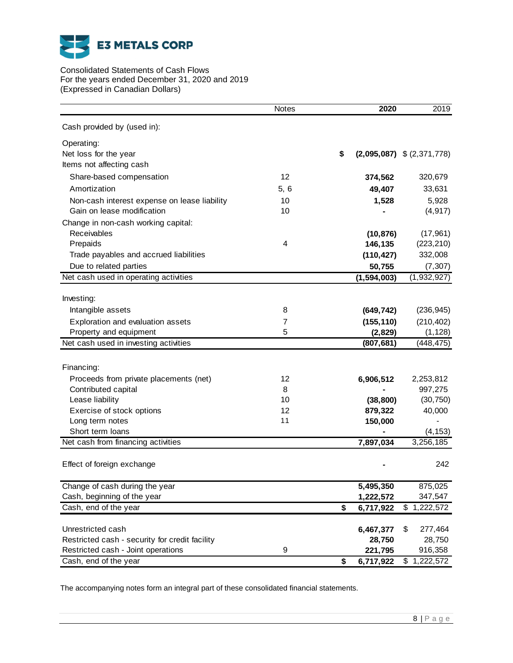

Consolidated Statements of Cash Flows For the years ended December 31, 2020 and 2019 (Expressed in Canadian Dollars)

|                                                | <b>Notes</b> | 2020            | 2019                           |
|------------------------------------------------|--------------|-----------------|--------------------------------|
| Cash provided by (used in):                    |              |                 |                                |
| Operating:                                     |              |                 |                                |
| Net loss for the year                          |              | \$              | $(2,095,087)$ \$ $(2,371,778)$ |
| Items not affecting cash                       |              |                 |                                |
| Share-based compensation                       | 12           | 374,562         | 320,679                        |
| Amortization                                   | 5, 6         | 49,407          | 33,631                         |
| Non-cash interest expense on lease liability   | 10           | 1,528           | 5,928                          |
| Gain on lease modification                     | 10           |                 | (4, 917)                       |
| Change in non-cash working capital:            |              |                 |                                |
| Receivables                                    |              | (10, 876)       | (17, 961)                      |
| Prepaids                                       | 4            | 146,135         | (223, 210)                     |
| Trade payables and accrued liabilities         |              | (110, 427)      | 332,008                        |
| Due to related parties                         |              | 50,755          | (7, 307)                       |
| Net cash used in operating activities          |              | (1, 594, 003)   | (1,932,927)                    |
|                                                |              |                 |                                |
| Investing:                                     |              |                 |                                |
| Intangible assets                              | 8            | (649, 742)      | (236, 945)                     |
| Exploration and evaluation assets              | 7            | (155, 110)      | (210, 402)                     |
| Property and equipment                         | 5            | (2,829)         | (1, 128)                       |
| Net cash used in investing activities          |              | (807, 681)      | (448, 475)                     |
|                                                |              |                 |                                |
| Financing:                                     |              |                 |                                |
| Proceeds from private placements (net)         | 12           | 6,906,512       | 2,253,812                      |
| Contributed capital                            | 8            |                 | 997,275                        |
| Lease liability                                | 10           | (38, 800)       | (30, 750)                      |
| Exercise of stock options                      | 12           | 879,322         | 40,000                         |
| Long term notes                                | 11           | 150,000         |                                |
| Short term loans                               |              |                 | (4, 153)                       |
| Net cash from financing activities             |              | 7,897,034       | 3,256,185                      |
| Effect of foreign exchange                     |              |                 | 242                            |
|                                                |              |                 |                                |
| Change of cash during the year                 |              | 5,495,350       | 875,025                        |
| Cash, beginning of the year                    |              | 1,222,572       | 347,547                        |
| Cash, end of the year                          |              | \$<br>6,717,922 | \$1,222,572                    |
|                                                |              |                 |                                |
| Unrestricted cash                              |              | 6,467,377       | \$<br>277,464                  |
| Restricted cash - security for credit facility |              | 28,750          | 28,750                         |
| Restricted cash - Joint operations             | 9            | 221,795         | 916,358                        |
| Cash, end of the year                          |              | \$<br>6,717,922 | \$1,222,572                    |

The accompanying notes form an integral part of these consolidated financial statements.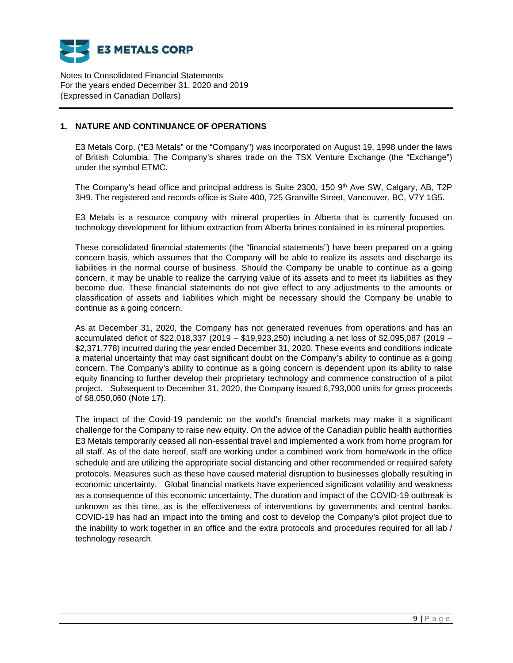

## **1. NATURE AND CONTINUANCE OF OPERATIONS**

E3 Metals Corp. ("E3 Metals" or the "Company") was incorporated on August 19, 1998 under the laws of British Columbia. The Company's shares trade on the TSX Venture Exchange (the "Exchange") under the symbol ETMC.

The Company's head office and principal address is Suite 2300, 150 9<sup>th</sup> Ave SW, Calgary, AB, T2P 3H9. The registered and records office is Suite 400, 725 Granville Street, Vancouver, BC, V7Y 1G5.

E3 Metals is a resource company with mineral properties in Alberta that is currently focused on technology development for lithium extraction from Alberta brines contained in its mineral properties.

These consolidated financial statements (the "financial statements") have been prepared on a going concern basis, which assumes that the Company will be able to realize its assets and discharge its liabilities in the normal course of business. Should the Company be unable to continue as a going concern, it may be unable to realize the carrying value of its assets and to meet its liabilities as they become due. These financial statements do not give effect to any adjustments to the amounts or classification of assets and liabilities which might be necessary should the Company be unable to continue as a going concern.

As at December 31, 2020, the Company has not generated revenues from operations and has an accumulated deficit of \$22,018,337 (2019 – \$19,923,250) including a net loss of \$2,095,087 (2019 – \$2,371,778) incurred during the year ended December 31, 2020. These events and conditions indicate a material uncertainty that may cast significant doubt on the Company's ability to continue as a going concern. The Company's ability to continue as a going concern is dependent upon its ability to raise equity financing to further develop their proprietary technology and commence construction of a pilot project. Subsequent to December 31, 2020, the Company issued 6,793,000 units for gross proceeds of \$8,050,060 (Note 17).

The impact of the Covid-19 pandemic on the world's financial markets may make it a significant challenge for the Company to raise new equity. On the advice of the Canadian public health authorities E3 Metals temporarily ceased all non-essential travel and implemented a work from home program for all staff. As of the date hereof, staff are working under a combined work from home/work in the office schedule and are utilizing the appropriate social distancing and other recommended or required safety protocols. Measures such as these have caused material disruption to businesses globally resulting in economic uncertainty. Global financial markets have experienced significant volatility and weakness as a consequence of this economic uncertainty. The duration and impact of the COVID-19 outbreak is unknown as this time, as is the effectiveness of interventions by governments and central banks. COVID-19 has had an impact into the timing and cost to develop the Company's pilot project due to the inability to work together in an office and the extra protocols and procedures required for all lab / technology research.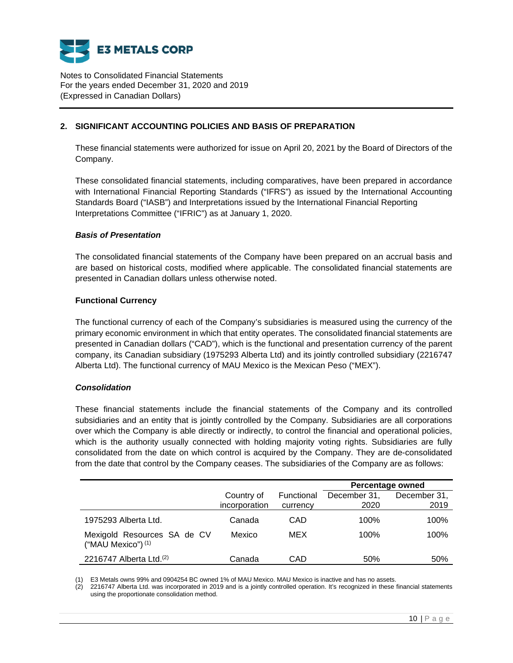

# **2. SIGNIFICANT ACCOUNTING POLICIES AND BASIS OF PREPARATION**

These financial statements were authorized for issue on April 20, 2021 by the Board of Directors of the Company.

These consolidated financial statements, including comparatives, have been prepared in accordance with International Financial Reporting Standards ("IFRS") as issued by the International Accounting Standards Board ("IASB") and Interpretations issued by the International Financial Reporting Interpretations Committee ("IFRIC") as at January 1, 2020.

## *Basis of Presentation*

The consolidated financial statements of the Company have been prepared on an accrual basis and are based on historical costs, modified where applicable. The consolidated financial statements are presented in Canadian dollars unless otherwise noted.

## **Functional Currency**

The functional currency of each of the Company's subsidiaries is measured using the currency of the primary economic environment in which that entity operates. The consolidated financial statements are presented in Canadian dollars ("CAD"), which is the functional and presentation currency of the parent company, its Canadian subsidiary (1975293 Alberta Ltd) and its jointly controlled subsidiary (2216747 Alberta Ltd). The functional currency of MAU Mexico is the Mexican Peso ("MEX").

## *Consolidation*

These financial statements include the financial statements of the Company and its controlled subsidiaries and an entity that is jointly controlled by the Company. Subsidiaries are all corporations over which the Company is able directly or indirectly, to control the financial and operational policies, which is the authority usually connected with holding majority voting rights. Subsidiaries are fully consolidated from the date on which control is acquired by the Company. They are de-consolidated from the date that control by the Company ceases. The subsidiaries of the Company are as follows:

|                                                   |                             |                        | <b>Percentage owned</b> |                      |  |  |
|---------------------------------------------------|-----------------------------|------------------------|-------------------------|----------------------|--|--|
|                                                   | Country of<br>incorporation | Functional<br>currency | December 31,<br>2020    | December 31,<br>2019 |  |  |
| 1975293 Alberta Ltd.                              | Canada                      | CAD                    | 100%                    | 100%                 |  |  |
| Mexigold Resources SA de CV<br>("MAU Mexico") (1) | Mexico                      | MEX                    | 100%                    | 100%                 |  |  |
| 2216747 Alberta Ltd. <sup>(2)</sup>               | Canada                      | CAD                    | 50%                     | 50%                  |  |  |

(1) E3 Metals owns 99% and 0904254 BC owned 1% of MAU Mexico. MAU Mexico is inactive and has no assets.

(2) 2216747 Alberta Ltd. was incorporated in 2019 and is a jointly controlled operation. It's recognized in these financial statements using the proportionate consolidation method.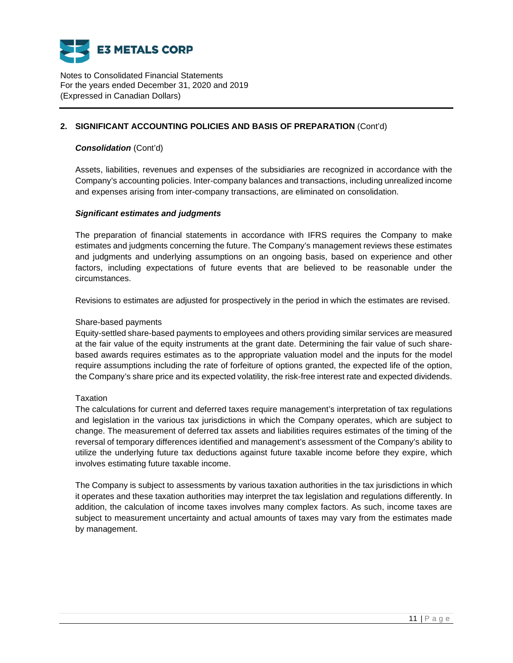

## **2. SIGNIFICANT ACCOUNTING POLICIES AND BASIS OF PREPARATION** (Cont'd)

## **Consolidation** (Cont'd)

Assets, liabilities, revenues and expenses of the subsidiaries are recognized in accordance with the Company's accounting policies. Inter-company balances and transactions, including unrealized income and expenses arising from inter-company transactions, are eliminated on consolidation.

### *Significant estimates and judgments*

The preparation of financial statements in accordance with IFRS requires the Company to make estimates and judgments concerning the future. The Company's management reviews these estimates and judgments and underlying assumptions on an ongoing basis, based on experience and other factors, including expectations of future events that are believed to be reasonable under the circumstances.

Revisions to estimates are adjusted for prospectively in the period in which the estimates are revised.

## Share-based payments

Equity-settled share-based payments to employees and others providing similar services are measured at the fair value of the equity instruments at the grant date. Determining the fair value of such sharebased awards requires estimates as to the appropriate valuation model and the inputs for the model require assumptions including the rate of forfeiture of options granted, the expected life of the option, the Company's share price and its expected volatility, the risk-free interest rate and expected dividends.

### **Taxation**

The calculations for current and deferred taxes require management's interpretation of tax regulations and legislation in the various tax jurisdictions in which the Company operates, which are subject to change. The measurement of deferred tax assets and liabilities requires estimates of the timing of the reversal of temporary differences identified and management's assessment of the Company's ability to utilize the underlying future tax deductions against future taxable income before they expire, which involves estimating future taxable income.

The Company is subject to assessments by various taxation authorities in the tax jurisdictions in which it operates and these taxation authorities may interpret the tax legislation and regulations differently. In addition, the calculation of income taxes involves many complex factors. As such, income taxes are subject to measurement uncertainty and actual amounts of taxes may vary from the estimates made by management.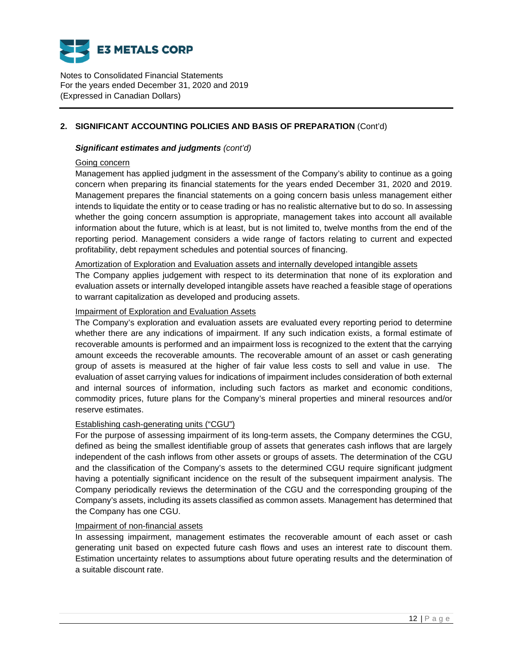

# **2. SIGNIFICANT ACCOUNTING POLICIES AND BASIS OF PREPARATION** (Cont'd)

## *Significant estimates and judgments (cont'd)*

### Going concern

Management has applied judgment in the assessment of the Company's ability to continue as a going concern when preparing its financial statements for the years ended December 31, 2020 and 2019. Management prepares the financial statements on a going concern basis unless management either intends to liquidate the entity or to cease trading or has no realistic alternative but to do so. In assessing whether the going concern assumption is appropriate, management takes into account all available information about the future, which is at least, but is not limited to, twelve months from the end of the reporting period. Management considers a wide range of factors relating to current and expected profitability, debt repayment schedules and potential sources of financing.

#### Amortization of Exploration and Evaluation assets and internally developed intangible assets

The Company applies judgement with respect to its determination that none of its exploration and evaluation assets or internally developed intangible assets have reached a feasible stage of operations to warrant capitalization as developed and producing assets.

### Impairment of Exploration and Evaluation Assets

The Company's exploration and evaluation assets are evaluated every reporting period to determine whether there are any indications of impairment. If any such indication exists, a formal estimate of recoverable amounts is performed and an impairment loss is recognized to the extent that the carrying amount exceeds the recoverable amounts. The recoverable amount of an asset or cash generating group of assets is measured at the higher of fair value less costs to sell and value in use. The evaluation of asset carrying values for indications of impairment includes consideration of both external and internal sources of information, including such factors as market and economic conditions, commodity prices, future plans for the Company's mineral properties and mineral resources and/or reserve estimates.

### Establishing cash-generating units ("CGU")

For the purpose of assessing impairment of its long-term assets, the Company determines the CGU, defined as being the smallest identifiable group of assets that generates cash inflows that are largely independent of the cash inflows from other assets or groups of assets. The determination of the CGU and the classification of the Company's assets to the determined CGU require significant judgment having a potentially significant incidence on the result of the subsequent impairment analysis. The Company periodically reviews the determination of the CGU and the corresponding grouping of the Company's assets, including its assets classified as common assets. Management has determined that the Company has one CGU.

### Impairment of non-financial assets

In assessing impairment, management estimates the recoverable amount of each asset or cash generating unit based on expected future cash flows and uses an interest rate to discount them. Estimation uncertainty relates to assumptions about future operating results and the determination of a suitable discount rate.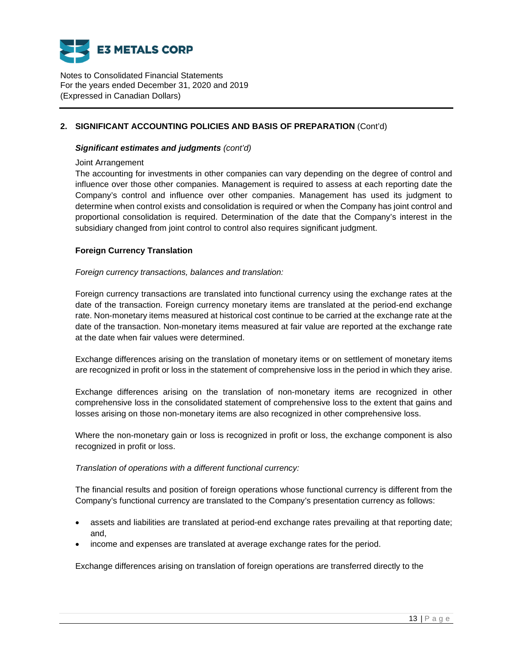

## **2. SIGNIFICANT ACCOUNTING POLICIES AND BASIS OF PREPARATION** (Cont'd)

### *Significant estimates and judgments (cont'd)*

#### Joint Arrangement

The accounting for investments in other companies can vary depending on the degree of control and influence over those other companies. Management is required to assess at each reporting date the Company's control and influence over other companies. Management has used its judgment to determine when control exists and consolidation is required or when the Company has joint control and proportional consolidation is required. Determination of the date that the Company's interest in the subsidiary changed from joint control to control also requires significant judgment.

## **Foreign Currency Translation**

### *Foreign currency transactions, balances and translation:*

Foreign currency transactions are translated into functional currency using the exchange rates at the date of the transaction. Foreign currency monetary items are translated at the period-end exchange rate. Non-monetary items measured at historical cost continue to be carried at the exchange rate at the date of the transaction. Non-monetary items measured at fair value are reported at the exchange rate at the date when fair values were determined.

Exchange differences arising on the translation of monetary items or on settlement of monetary items are recognized in profit or loss in the statement of comprehensive loss in the period in which they arise.

Exchange differences arising on the translation of non-monetary items are recognized in other comprehensive loss in the consolidated statement of comprehensive loss to the extent that gains and losses arising on those non-monetary items are also recognized in other comprehensive loss.

Where the non-monetary gain or loss is recognized in profit or loss, the exchange component is also recognized in profit or loss.

### *Translation of operations with a different functional currency:*

The financial results and position of foreign operations whose functional currency is different from the Company's functional currency are translated to the Company's presentation currency as follows:

- assets and liabilities are translated at period-end exchange rates prevailing at that reporting date; and,
- income and expenses are translated at average exchange rates for the period.

Exchange differences arising on translation of foreign operations are transferred directly to the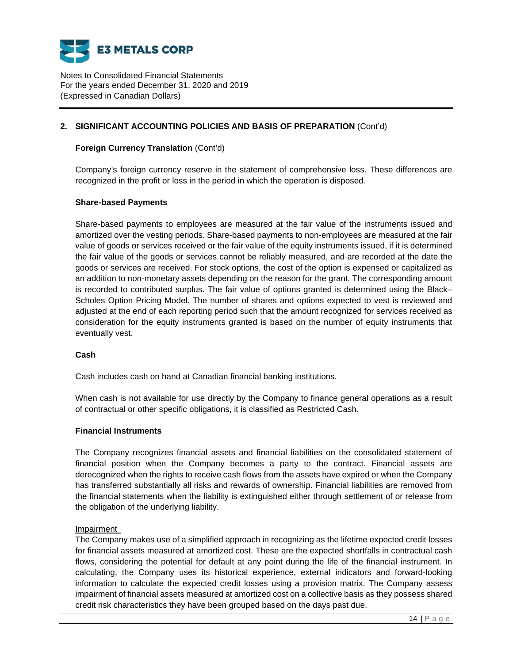

## **2. SIGNIFICANT ACCOUNTING POLICIES AND BASIS OF PREPARATION** (Cont'd)

## **Foreign Currency Translation** (Cont'd)

Company's foreign currency reserve in the statement of comprehensive loss. These differences are recognized in the profit or loss in the period in which the operation is disposed.

## **Share-based Payments**

Share-based payments to employees are measured at the fair value of the instruments issued and amortized over the vesting periods. Share-based payments to non-employees are measured at the fair value of goods or services received or the fair value of the equity instruments issued, if it is determined the fair value of the goods or services cannot be reliably measured, and are recorded at the date the goods or services are received. For stock options, the cost of the option is expensed or capitalized as an addition to non-monetary assets depending on the reason for the grant. The corresponding amount is recorded to contributed surplus. The fair value of options granted is determined using the Black– Scholes Option Pricing Model. The number of shares and options expected to vest is reviewed and adjusted at the end of each reporting period such that the amount recognized for services received as consideration for the equity instruments granted is based on the number of equity instruments that eventually vest.

### **Cash**

Cash includes cash on hand at Canadian financial banking institutions.

When cash is not available for use directly by the Company to finance general operations as a result of contractual or other specific obligations, it is classified as Restricted Cash.

### **Financial Instruments**

The Company recognizes financial assets and financial liabilities on the consolidated statement of financial position when the Company becomes a party to the contract. Financial assets are derecognized when the rights to receive cash flows from the assets have expired or when the Company has transferred substantially all risks and rewards of ownership. Financial liabilities are removed from the financial statements when the liability is extinguished either through settlement of or release from the obligation of the underlying liability.

### Impairment

The Company makes use of a simplified approach in recognizing as the lifetime expected credit losses for financial assets measured at amortized cost. These are the expected shortfalls in contractual cash flows, considering the potential for default at any point during the life of the financial instrument. In calculating, the Company uses its historical experience, external indicators and forward-looking information to calculate the expected credit losses using a provision matrix. The Company assess impairment of financial assets measured at amortized cost on a collective basis as they possess shared credit risk characteristics they have been grouped based on the days past due.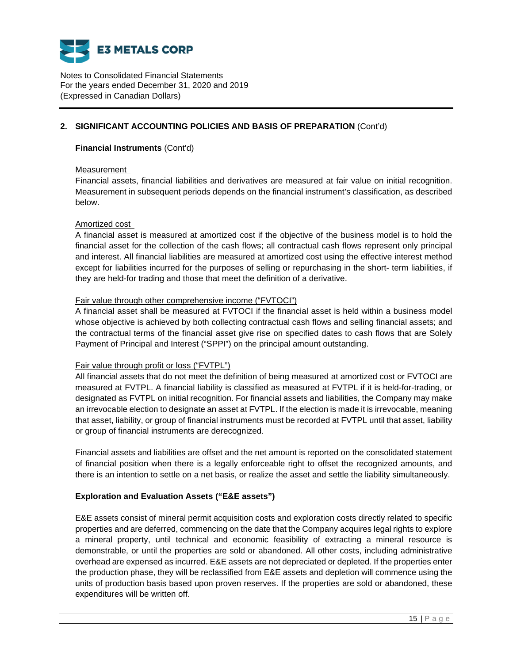

# **2. SIGNIFICANT ACCOUNTING POLICIES AND BASIS OF PREPARATION** (Cont'd)

## **Financial Instruments** (Cont'd)

### Measurement

Financial assets, financial liabilities and derivatives are measured at fair value on initial recognition. Measurement in subsequent periods depends on the financial instrument's classification, as described below.

## Amortized cost

A financial asset is measured at amortized cost if the objective of the business model is to hold the financial asset for the collection of the cash flows; all contractual cash flows represent only principal and interest. All financial liabilities are measured at amortized cost using the effective interest method except for liabilities incurred for the purposes of selling or repurchasing in the short- term liabilities, if they are held-for trading and those that meet the definition of a derivative.

## Fair value through other comprehensive income ("FVTOCI")

A financial asset shall be measured at FVTOCI if the financial asset is held within a business model whose objective is achieved by both collecting contractual cash flows and selling financial assets; and the contractual terms of the financial asset give rise on specified dates to cash flows that are Solely Payment of Principal and Interest ("SPPI") on the principal amount outstanding.

### Fair value through profit or loss ("FVTPL")

All financial assets that do not meet the definition of being measured at amortized cost or FVTOCI are measured at FVTPL. A financial liability is classified as measured at FVTPL if it is held-for-trading, or designated as FVTPL on initial recognition. For financial assets and liabilities, the Company may make an irrevocable election to designate an asset at FVTPL. If the election is made it is irrevocable, meaning that asset, liability, or group of financial instruments must be recorded at FVTPL until that asset, liability or group of financial instruments are derecognized.

Financial assets and liabilities are offset and the net amount is reported on the consolidated statement of financial position when there is a legally enforceable right to offset the recognized amounts, and there is an intention to settle on a net basis, or realize the asset and settle the liability simultaneously.

## **Exploration and Evaluation Assets ("E&E assets")**

E&E assets consist of mineral permit acquisition costs and exploration costs directly related to specific properties and are deferred, commencing on the date that the Company acquires legal rights to explore a mineral property, until technical and economic feasibility of extracting a mineral resource is demonstrable, or until the properties are sold or abandoned. All other costs, including administrative overhead are expensed as incurred. E&E assets are not depreciated or depleted. If the properties enter the production phase, they will be reclassified from E&E assets and depletion will commence using the units of production basis based upon proven reserves. If the properties are sold or abandoned, these expenditures will be written off.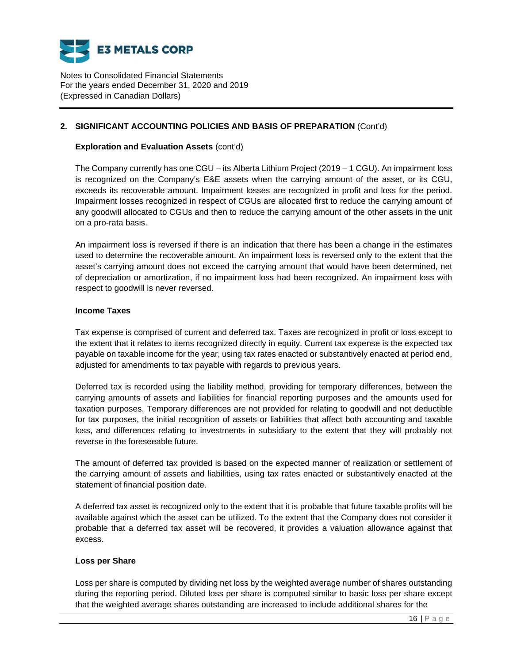

## **2. SIGNIFICANT ACCOUNTING POLICIES AND BASIS OF PREPARATION** (Cont'd)

#### **Exploration and Evaluation Assets** (cont'd)

The Company currently has one CGU – its Alberta Lithium Project (2019 – 1 CGU). An impairment loss is recognized on the Company's E&E assets when the carrying amount of the asset, or its CGU, exceeds its recoverable amount. Impairment losses are recognized in profit and loss for the period. Impairment losses recognized in respect of CGUs are allocated first to reduce the carrying amount of any goodwill allocated to CGUs and then to reduce the carrying amount of the other assets in the unit on a pro-rata basis.

An impairment loss is reversed if there is an indication that there has been a change in the estimates used to determine the recoverable amount. An impairment loss is reversed only to the extent that the asset's carrying amount does not exceed the carrying amount that would have been determined, net of depreciation or amortization, if no impairment loss had been recognized. An impairment loss with respect to goodwill is never reversed.

#### **Income Taxes**

Tax expense is comprised of current and deferred tax. Taxes are recognized in profit or loss except to the extent that it relates to items recognized directly in equity. Current tax expense is the expected tax payable on taxable income for the year, using tax rates enacted or substantively enacted at period end, adjusted for amendments to tax payable with regards to previous years.

Deferred tax is recorded using the liability method, providing for temporary differences, between the carrying amounts of assets and liabilities for financial reporting purposes and the amounts used for taxation purposes. Temporary differences are not provided for relating to goodwill and not deductible for tax purposes, the initial recognition of assets or liabilities that affect both accounting and taxable loss, and differences relating to investments in subsidiary to the extent that they will probably not reverse in the foreseeable future.

The amount of deferred tax provided is based on the expected manner of realization or settlement of the carrying amount of assets and liabilities, using tax rates enacted or substantively enacted at the statement of financial position date.

A deferred tax asset is recognized only to the extent that it is probable that future taxable profits will be available against which the asset can be utilized. To the extent that the Company does not consider it probable that a deferred tax asset will be recovered, it provides a valuation allowance against that excess.

#### **Loss per Share**

Loss per share is computed by dividing net loss by the weighted average number of shares outstanding during the reporting period. Diluted loss per share is computed similar to basic loss per share except that the weighted average shares outstanding are increased to include additional shares for the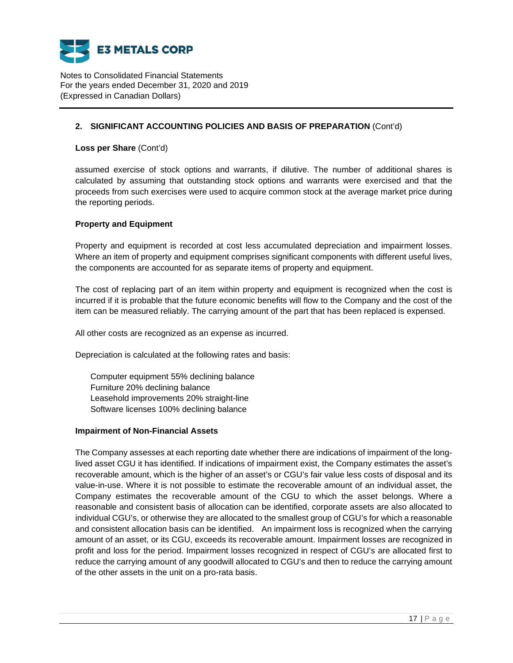

# **2. SIGNIFICANT ACCOUNTING POLICIES AND BASIS OF PREPARATION** (Cont'd)

**Loss per Share** (Cont'd)

assumed exercise of stock options and warrants, if dilutive. The number of additional shares is calculated by assuming that outstanding stock options and warrants were exercised and that the proceeds from such exercises were used to acquire common stock at the average market price during the reporting periods.

## **Property and Equipment**

Property and equipment is recorded at cost less accumulated depreciation and impairment losses. Where an item of property and equipment comprises significant components with different useful lives, the components are accounted for as separate items of property and equipment.

The cost of replacing part of an item within property and equipment is recognized when the cost is incurred if it is probable that the future economic benefits will flow to the Company and the cost of the item can be measured reliably. The carrying amount of the part that has been replaced is expensed.

All other costs are recognized as an expense as incurred.

Depreciation is calculated at the following rates and basis:

 Computer equipment 55% declining balance Furniture 20% declining balance Leasehold improvements 20% straight-line Software licenses 100% declining balance

### **Impairment of Non-Financial Assets**

The Company assesses at each reporting date whether there are indications of impairment of the longlived asset CGU it has identified. If indications of impairment exist, the Company estimates the asset's recoverable amount, which is the higher of an asset's or CGU's fair value less costs of disposal and its value-in-use. Where it is not possible to estimate the recoverable amount of an individual asset, the Company estimates the recoverable amount of the CGU to which the asset belongs. Where a reasonable and consistent basis of allocation can be identified, corporate assets are also allocated to individual CGU's, or otherwise they are allocated to the smallest group of CGU's for which a reasonable and consistent allocation basis can be identified. An impairment loss is recognized when the carrying amount of an asset, or its CGU, exceeds its recoverable amount. Impairment losses are recognized in profit and loss for the period. Impairment losses recognized in respect of CGU's are allocated first to reduce the carrying amount of any goodwill allocated to CGU's and then to reduce the carrying amount of the other assets in the unit on a pro-rata basis.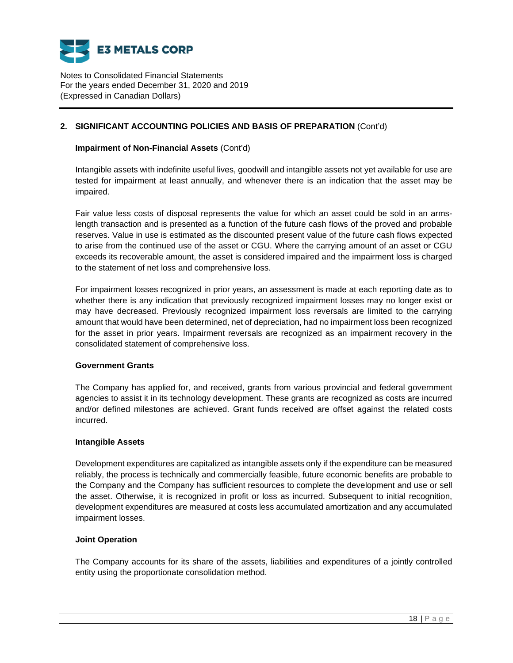

# **2. SIGNIFICANT ACCOUNTING POLICIES AND BASIS OF PREPARATION** (Cont'd)

## **Impairment of Non-Financial Assets** (Cont'd)

Intangible assets with indefinite useful lives, goodwill and intangible assets not yet available for use are tested for impairment at least annually, and whenever there is an indication that the asset may be impaired.

Fair value less costs of disposal represents the value for which an asset could be sold in an armslength transaction and is presented as a function of the future cash flows of the proved and probable reserves. Value in use is estimated as the discounted present value of the future cash flows expected to arise from the continued use of the asset or CGU. Where the carrying amount of an asset or CGU exceeds its recoverable amount, the asset is considered impaired and the impairment loss is charged to the statement of net loss and comprehensive loss.

For impairment losses recognized in prior years, an assessment is made at each reporting date as to whether there is any indication that previously recognized impairment losses may no longer exist or may have decreased. Previously recognized impairment loss reversals are limited to the carrying amount that would have been determined, net of depreciation, had no impairment loss been recognized for the asset in prior years. Impairment reversals are recognized as an impairment recovery in the consolidated statement of comprehensive loss.

### **Government Grants**

The Company has applied for, and received, grants from various provincial and federal government agencies to assist it in its technology development. These grants are recognized as costs are incurred and/or defined milestones are achieved. Grant funds received are offset against the related costs incurred.

### **Intangible Assets**

Development expenditures are capitalized as intangible assets only if the expenditure can be measured reliably, the process is technically and commercially feasible, future economic benefits are probable to the Company and the Company has sufficient resources to complete the development and use or sell the asset. Otherwise, it is recognized in profit or loss as incurred. Subsequent to initial recognition, development expenditures are measured at costs less accumulated amortization and any accumulated impairment losses.

### **Joint Operation**

The Company accounts for its share of the assets, liabilities and expenditures of a jointly controlled entity using the proportionate consolidation method.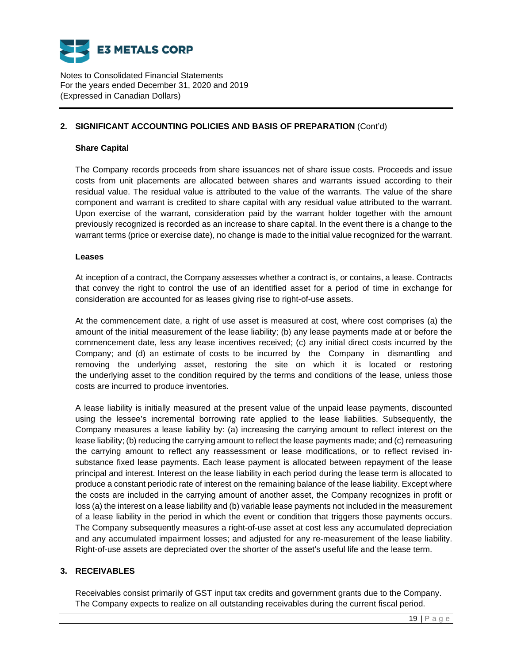

## **2. SIGNIFICANT ACCOUNTING POLICIES AND BASIS OF PREPARATION** (Cont'd)

## **Share Capital**

The Company records proceeds from share issuances net of share issue costs. Proceeds and issue costs from unit placements are allocated between shares and warrants issued according to their residual value. The residual value is attributed to the value of the warrants. The value of the share component and warrant is credited to share capital with any residual value attributed to the warrant. Upon exercise of the warrant, consideration paid by the warrant holder together with the amount previously recognized is recorded as an increase to share capital. In the event there is a change to the warrant terms (price or exercise date), no change is made to the initial value recognized for the warrant.

### **Leases**

At inception of a contract, the Company assesses whether a contract is, or contains, a lease. Contracts that convey the right to control the use of an identified asset for a period of time in exchange for consideration are accounted for as leases giving rise to right-of-use assets.

At the commencement date, a right of use asset is measured at cost, where cost comprises (a) the amount of the initial measurement of the lease liability; (b) any lease payments made at or before the commencement date, less any lease incentives received; (c) any initial direct costs incurred by the Company; and (d) an estimate of costs to be incurred by the Company in dismantling and removing the underlying asset, restoring the site on which it is located or restoring the underlying asset to the condition required by the terms and conditions of the lease, unless those costs are incurred to produce inventories.

A lease liability is initially measured at the present value of the unpaid lease payments, discounted using the lessee's incremental borrowing rate applied to the lease liabilities. Subsequently, the Company measures a lease liability by: (a) increasing the carrying amount to reflect interest on the lease liability; (b) reducing the carrying amount to reflect the lease payments made; and (c) remeasuring the carrying amount to reflect any reassessment or lease modifications, or to reflect revised insubstance fixed lease payments. Each lease payment is allocated between repayment of the lease principal and interest. Interest on the lease liability in each period during the lease term is allocated to produce a constant periodic rate of interest on the remaining balance of the lease liability. Except where the costs are included in the carrying amount of another asset, the Company recognizes in profit or loss (a) the interest on a lease liability and (b) variable lease payments not included in the measurement of a lease liability in the period in which the event or condition that triggers those payments occurs. The Company subsequently measures a right-of-use asset at cost less any accumulated depreciation and any accumulated impairment losses; and adjusted for any re-measurement of the lease liability. Right-of-use assets are depreciated over the shorter of the asset's useful life and the lease term.

# **3. RECEIVABLES**

Receivables consist primarily of GST input tax credits and government grants due to the Company. The Company expects to realize on all outstanding receivables during the current fiscal period.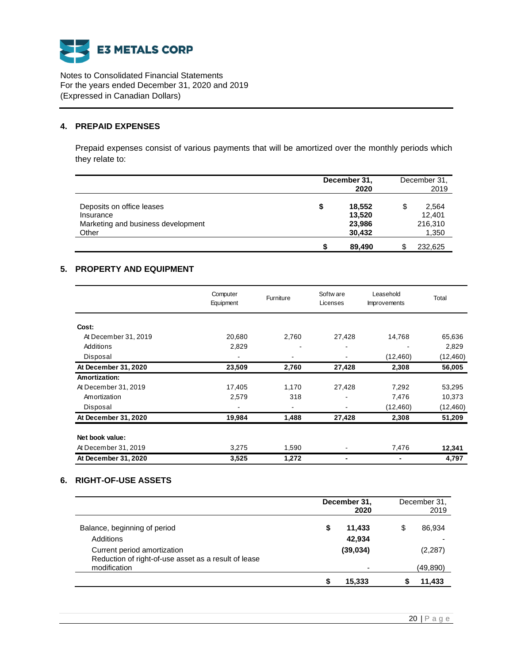

## **4. PREPAID EXPENSES**

Prepaid expenses consist of various payments that will be amortized over the monthly periods which they relate to:

|                                                                                       | December 31,<br>2020 |                                      |  | December 31,<br>2019                |
|---------------------------------------------------------------------------------------|----------------------|--------------------------------------|--|-------------------------------------|
| Deposits on office leases<br>Insurance<br>Marketing and business development<br>Other | \$                   | 18.552<br>13,520<br>23,986<br>30,432 |  | 2,564<br>12,401<br>216,310<br>1,350 |
|                                                                                       | S                    | 89.490                               |  | 232,625                             |

# **5. PROPERTY AND EQUIPMENT**

|                      | Computer<br>Equipment | Furniture | Softw are<br>Licenses | Leasehold<br><b>Improvements</b> | Total     |
|----------------------|-----------------------|-----------|-----------------------|----------------------------------|-----------|
| Cost:                |                       |           |                       |                                  |           |
| At December 31, 2019 | 20,680                | 2,760     | 27,428                | 14,768                           | 65,636    |
| Additions            | 2,829                 |           |                       |                                  | 2,829     |
| Disposal             |                       | -         |                       | (12,460)                         | (12,460)  |
| At December 31, 2020 | 23,509                | 2,760     | 27,428                | 2,308                            | 56,005    |
| Amortization:        |                       |           |                       |                                  |           |
| At December 31, 2019 | 17,405                | 1,170     | 27,428                | 7,292                            | 53,295    |
| Amortization         | 2,579                 | 318       |                       | 7,476                            | 10,373    |
| Disposal             |                       | -         |                       | (12,460)                         | (12, 460) |
| At December 31, 2020 | 19,984                | 1,488     | 27,428                | 2,308                            | 51,209    |
| Net book value:      |                       |           |                       |                                  |           |
| At December 31, 2019 | 3,275                 | 1,590     |                       | 7,476                            | 12,341    |
| At December 31, 2020 | 3,525                 | 1,272     |                       |                                  | 4,797     |

# **6. RIGHT-OF-USE ASSETS**

|                                                                                     | December 31,<br>2020 |  | December 31,<br>2019 |
|-------------------------------------------------------------------------------------|----------------------|--|----------------------|
| Balance, beginning of period                                                        | 11.433<br>\$         |  | 86,934               |
| Additions                                                                           | 42,934               |  |                      |
| Current period amortization<br>Reduction of right-of-use asset as a result of lease | (39, 034)            |  | (2, 287)             |
| modification                                                                        |                      |  | (49, 890)            |
|                                                                                     | 15,333               |  | 11,433               |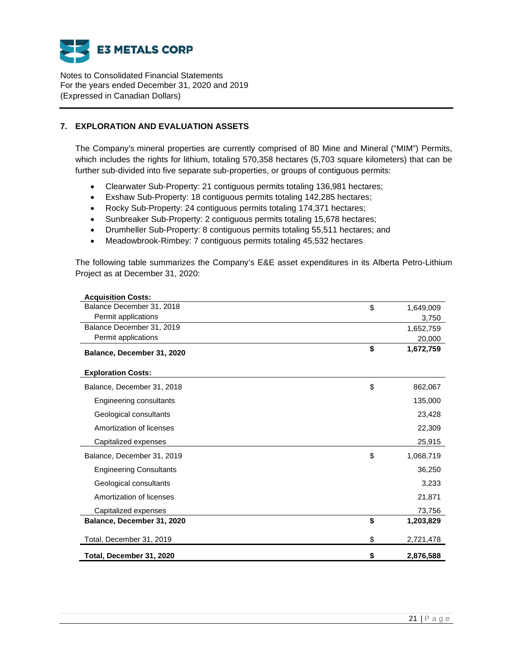

# **7. EXPLORATION AND EVALUATION ASSETS**

The Company's mineral properties are currently comprised of 80 Mine and Mineral ("MIM") Permits, which includes the rights for lithium, totaling 570,358 hectares (5,703 square kilometers) that can be further sub-divided into five separate sub-properties, or groups of contiguous permits:

- Clearwater Sub-Property: 21 contiguous permits totaling 136,981 hectares;
- Exshaw Sub-Property: 18 contiguous permits totaling 142,285 hectares;
- Rocky Sub-Property: 24 contiguous permits totaling 174,371 hectares;
- Sunbreaker Sub-Property: 2 contiguous permits totaling 15,678 hectares;
- Drumheller Sub-Property: 8 contiguous permits totaling 55,511 hectares; and
- Meadowbrook-Rimbey: 7 contiguous permits totaling 45,532 hectares

The following table summarizes the Company's E&E asset expenditures in its Alberta Petro-Lithium Project as at December 31, 2020:

| <b>Acquisition Costs:</b>      |                 |
|--------------------------------|-----------------|
| Balance December 31, 2018      | \$<br>1,649,009 |
| Permit applications            | 3,750           |
| Balance December 31, 2019      | 1,652,759       |
| Permit applications            | 20,000          |
| Balance, December 31, 2020     | \$<br>1,672,759 |
| <b>Exploration Costs:</b>      |                 |
| Balance, December 31, 2018     | \$<br>862,067   |
| <b>Engineering consultants</b> | 135,000         |
| Geological consultants         | 23,428          |
| Amortization of licenses       | 22,309          |
| Capitalized expenses           | 25,915          |
| Balance, December 31, 2019     | \$<br>1,068,719 |
| <b>Engineering Consultants</b> | 36,250          |
| Geological consultants         | 3,233           |
| Amortization of licenses       | 21,871          |
| Capitalized expenses           | 73,756          |
| Balance, December 31, 2020     | \$<br>1,203,829 |
| Total, December 31, 2019       | \$<br>2,721,478 |
| Total, December 31, 2020       | \$<br>2,876,588 |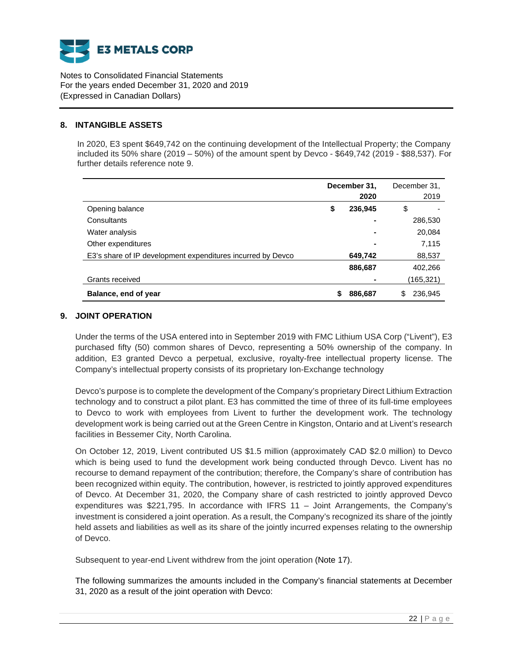

## **8. INTANGIBLE ASSETS**

In 2020, E3 spent \$649,742 on the continuing development of the Intellectual Property; the Company included its 50% share (2019 – 50%) of the amount spent by Devco - \$649,742 (2019 - \$88,537). For further details reference note 9.

|                                                             |    | December 31,   | December 31,   |
|-------------------------------------------------------------|----|----------------|----------------|
|                                                             |    | 2020           | 2019           |
| Opening balance                                             | \$ | 236,945        | \$             |
| Consultants                                                 |    | $\blacksquare$ | 286,530        |
| Water analysis                                              |    | -              | 20,084         |
| Other expenditures                                          |    | -              | 7,115          |
| E3's share of IP development expenditures incurred by Devco |    | 649,742        | 88,537         |
|                                                             |    | 886,687        | 402,266        |
| Grants received                                             |    |                | (165,321)      |
| Balance, end of year                                        | S  | 886,687        | 236.945<br>\$. |

### **9. JOINT OPERATION**

Under the terms of the USA entered into in September 2019 with FMC Lithium USA Corp ("Livent"), E3 purchased fifty (50) common shares of Devco, representing a 50% ownership of the company. In addition, E3 granted Devco a perpetual, exclusive, royalty-free intellectual property license. The Company's intellectual property consists of its proprietary Ion-Exchange technology

Devco's purpose is to complete the development of the Company's proprietary Direct Lithium Extraction technology and to construct a pilot plant. E3 has committed the time of three of its full-time employees to Devco to work with employees from Livent to further the development work. The technology development work is being carried out at the Green Centre in Kingston, Ontario and at Livent's research facilities in Bessemer City, North Carolina.

On October 12, 2019, Livent contributed US \$1.5 million (approximately CAD \$2.0 million) to Devco which is being used to fund the development work being conducted through Devco. Livent has no recourse to demand repayment of the contribution; therefore, the Company's share of contribution has been recognized within equity. The contribution, however, is restricted to jointly approved expenditures of Devco. At December 31, 2020, the Company share of cash restricted to jointly approved Devco expenditures was \$221,795. In accordance with IFRS 11 – Joint Arrangements, the Company's investment is considered a joint operation. As a result, the Company's recognized its share of the jointly held assets and liabilities as well as its share of the jointly incurred expenses relating to the ownership of Devco.

Subsequent to year-end Livent withdrew from the joint operation (Note 17).

The following summarizes the amounts included in the Company's financial statements at December 31, 2020 as a result of the joint operation with Devco: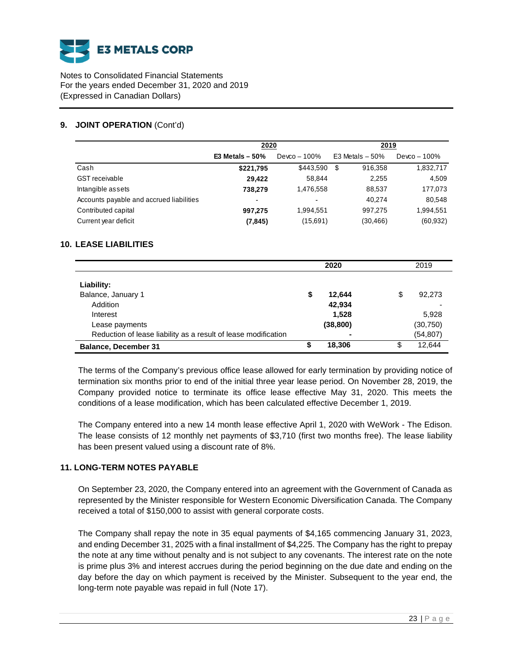

## **9. JOINT OPERATION** (Cont'd)

|                                          | 2020                     |                          |                     | 2019           |
|------------------------------------------|--------------------------|--------------------------|---------------------|----------------|
|                                          | $E3$ Metals $-50\%$      | Devco $-100\%$           | $E3$ Metals $-50\%$ | Devco $-100\%$ |
| Cash                                     | \$221,795                | \$443,590                | S<br>916,358        | 1,832,717      |
| <b>GST</b> receivable                    | 29,422                   | 58,844                   | 2,255               | 4,509          |
| Intangible assets                        | 738.279                  | 1,476,558                | 88,537              | 177,073        |
| Accounts payable and accrued liabilities | $\overline{\phantom{a}}$ | $\overline{\phantom{0}}$ | 40.274              | 80,548         |
| Contributed capital                      | 997.275                  | 1,994,551                | 997,275             | 1,994,551      |
| Current year deficit                     | (7, 845)                 | (15,691)                 | (30, 466)           | (60, 932)      |

# **10. LEASE LIABILITIES**

|                                                                |    | 2020      | 2019         |
|----------------------------------------------------------------|----|-----------|--------------|
| Liability:                                                     |    |           |              |
| Balance, January 1                                             | \$ | 12.644    | \$<br>92,273 |
| Addition                                                       |    | 42,934    | -            |
| Interest                                                       |    | 1,528     | 5,928        |
| Lease payments                                                 |    | (38, 800) | (30,750)     |
| Reduction of lease liability as a result of lease modification |    |           | (54, 807)    |
| <b>Balance, December 31</b>                                    | S  | 18,306    | \$<br>12.644 |

The terms of the Company's previous office lease allowed for early termination by providing notice of termination six months prior to end of the initial three year lease period. On November 28, 2019, the Company provided notice to terminate its office lease effective May 31, 2020. This meets the conditions of a lease modification, which has been calculated effective December 1, 2019.

The Company entered into a new 14 month lease effective April 1, 2020 with WeWork - The Edison. The lease consists of 12 monthly net payments of \$3,710 (first two months free). The lease liability has been present valued using a discount rate of 8%.

# **11. LONG-TERM NOTES PAYABLE**

On September 23, 2020, the Company entered into an agreement with the Government of Canada as represented by the Minister responsible for Western Economic Diversification Canada. The Company received a total of \$150,000 to assist with general corporate costs.

The Company shall repay the note in 35 equal payments of \$4,165 commencing January 31, 2023, and ending December 31, 2025 with a final installment of \$4,225. The Company has the right to prepay the note at any time without penalty and is not subject to any covenants. The interest rate on the note is prime plus 3% and interest accrues during the period beginning on the due date and ending on the day before the day on which payment is received by the Minister. Subsequent to the year end, the long-term note payable was repaid in full (Note 17).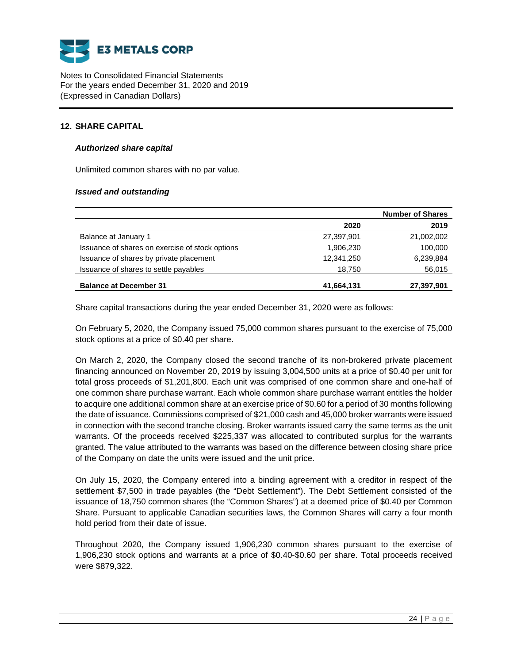

## **12. SHARE CAPITAL**

### *Authorized share capital*

Unlimited common shares with no par value.

#### *Issued and outstanding*

|                                                 |            | <b>Number of Shares</b> |
|-------------------------------------------------|------------|-------------------------|
|                                                 | 2020       | 2019                    |
| Balance at January 1                            | 27,397,901 | 21,002,002              |
| Issuance of shares on exercise of stock options | 1,906,230  | 100,000                 |
| Issuance of shares by private placement         | 12,341,250 | 6,239,884               |
| Issuance of shares to settle payables           | 18,750     | 56,015                  |
| <b>Balance at December 31</b>                   | 41,664,131 | 27,397,901              |

Share capital transactions during the year ended December 31, 2020 were as follows:

On February 5, 2020, the Company issued 75,000 common shares pursuant to the exercise of 75,000 stock options at a price of \$0.40 per share.

On March 2, 2020, the Company closed the second tranche of its non-brokered private placement financing announced on November 20, 2019 by issuing 3,004,500 units at a price of \$0.40 per unit for total gross proceeds of \$1,201,800. Each unit was comprised of one common share and one-half of one common share purchase warrant. Each whole common share purchase warrant entitles the holder to acquire one additional common share at an exercise price of \$0.60 for a period of 30 months following the date of issuance. Commissions comprised of \$21,000 cash and 45,000 broker warrants were issued in connection with the second tranche closing. Broker warrants issued carry the same terms as the unit warrants. Of the proceeds received \$225,337 was allocated to contributed surplus for the warrants granted. The value attributed to the warrants was based on the difference between closing share price of the Company on date the units were issued and the unit price.

On July 15, 2020, the Company entered into a binding agreement with a creditor in respect of the settlement \$7,500 in trade payables (the "Debt Settlement"). The Debt Settlement consisted of the issuance of 18,750 common shares (the "Common Shares") at a deemed price of \$0.40 per Common Share. Pursuant to applicable Canadian securities laws, the Common Shares will carry a four month hold period from their date of issue.

Throughout 2020, the Company issued 1,906,230 common shares pursuant to the exercise of 1,906,230 stock options and warrants at a price of \$0.40-\$0.60 per share. Total proceeds received were \$879,322.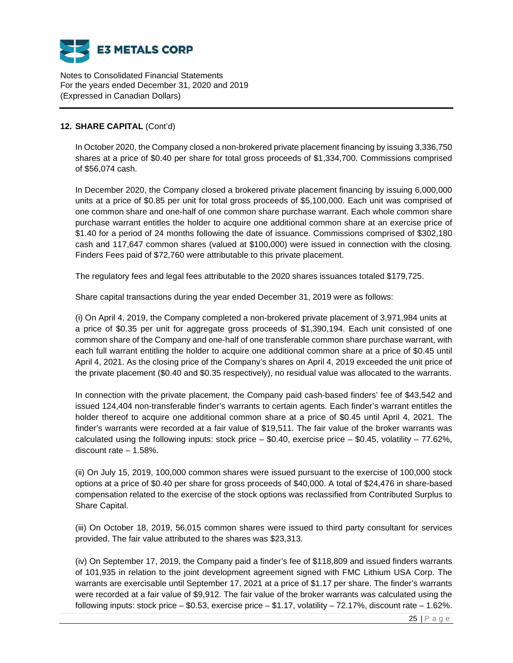

## **12. SHARE CAPITAL** (Cont'd)

In October 2020, the Company closed a non-brokered private placement financing by issuing 3,336,750 shares at a price of \$0.40 per share for total gross proceeds of \$1,334,700. Commissions comprised of \$56,074 cash.

In December 2020, the Company closed a brokered private placement financing by issuing 6,000,000 units at a price of \$0.85 per unit for total gross proceeds of \$5,100,000. Each unit was comprised of one common share and one-half of one common share purchase warrant. Each whole common share purchase warrant entitles the holder to acquire one additional common share at an exercise price of \$1.40 for a period of 24 months following the date of issuance. Commissions comprised of \$302,180 cash and 117,647 common shares (valued at \$100,000) were issued in connection with the closing. Finders Fees paid of \$72,760 were attributable to this private placement.

The regulatory fees and legal fees attributable to the 2020 shares issuances totaled \$179,725.

Share capital transactions during the year ended December 31, 2019 were as follows:

(i) On April 4, 2019, the Company completed a non-brokered private placement of 3,971,984 units at a price of \$0.35 per unit for aggregate gross proceeds of \$1,390,194. Each unit consisted of one common share of the Company and one-half of one transferable common share purchase warrant, with each full warrant entitling the holder to acquire one additional common share at a price of \$0.45 until April 4, 2021. As the closing price of the Company's shares on April 4, 2019 exceeded the unit price of the private placement (\$0.40 and \$0.35 respectively), no residual value was allocated to the warrants.

In connection with the private placement, the Company paid cash-based finders' fee of \$43,542 and issued 124,404 non-transferable finder's warrants to certain agents. Each finder's warrant entitles the holder thereof to acquire one additional common share at a price of \$0.45 until April 4, 2021. The finder's warrants were recorded at a fair value of \$19,511. The fair value of the broker warrants was calculated using the following inputs: stock price  $-$  \$0.40, exercise price  $-$  \$0.45, volatility  $-$  77.62%, discount rate – 1.58%.

(ii) On July 15, 2019, 100,000 common shares were issued pursuant to the exercise of 100,000 stock options at a price of \$0.40 per share for gross proceeds of \$40,000. A total of \$24,476 in share-based compensation related to the exercise of the stock options was reclassified from Contributed Surplus to Share Capital.

(iii) On October 18, 2019, 56,015 common shares were issued to third party consultant for services provided. The fair value attributed to the shares was \$23,313.

(iv) On September 17, 2019, the Company paid a finder's fee of \$118,809 and issued finders warrants of 101,935 in relation to the joint development agreement signed with FMC Lithium USA Corp. The warrants are exercisable until September 17, 2021 at a price of \$1.17 per share. The finder's warrants were recorded at a fair value of \$9,912. The fair value of the broker warrants was calculated using the following inputs: stock price – \$0.53, exercise price – \$1.17, volatility – 72.17%, discount rate – 1.62%.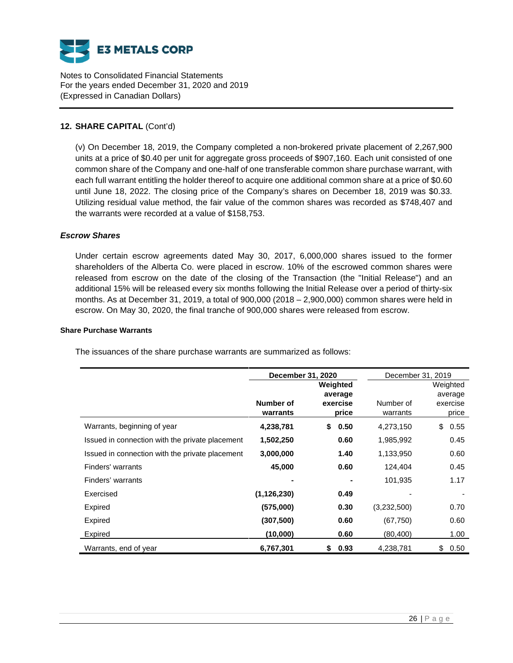

## **12. SHARE CAPITAL** (Cont'd)

(v) On December 18, 2019, the Company completed a non-brokered private placement of 2,267,900 units at a price of \$0.40 per unit for aggregate gross proceeds of \$907,160. Each unit consisted of one common share of the Company and one-half of one transferable common share purchase warrant, with each full warrant entitling the holder thereof to acquire one additional common share at a price of \$0.60 until June 18, 2022. The closing price of the Company's shares on December 18, 2019 was \$0.33. Utilizing residual value method, the fair value of the common shares was recorded as \$748,407 and the warrants were recorded at a value of \$158,753.

## *Escrow Shares*

Under certain escrow agreements dated May 30, 2017, 6,000,000 shares issued to the former shareholders of the Alberta Co. were placed in escrow. 10% of the escrowed common shares were released from escrow on the date of the closing of the Transaction (the "Initial Release") and an additional 15% will be released every six months following the Initial Release over a period of thirty-six months. As at December 31, 2019, a total of 900,000 (2018 – 2,900,000) common shares were held in escrow. On May 30, 2020, the final tranche of 900,000 shares were released from escrow.

#### **Share Purchase Warrants**

The issuances of the share purchase warrants are summarized as follows:

|                                                 | December 31, 2020     |                                          |                       | December 31, 2019                        |
|-------------------------------------------------|-----------------------|------------------------------------------|-----------------------|------------------------------------------|
|                                                 | Number of<br>warrants | Weighted<br>average<br>exercise<br>price | Number of<br>warrants | Weighted<br>average<br>exercise<br>price |
| Warrants, beginning of year                     | 4,238,781             | \$<br>0.50                               | 4,273,150             | \$<br>0.55                               |
| Issued in connection with the private placement | 1,502,250             | 0.60                                     | 1,985,992             | 0.45                                     |
| Issued in connection with the private placement | 3,000,000             | 1.40                                     | 1,133,950             | 0.60                                     |
| Finders' warrants                               | 45,000                | 0.60                                     | 124,404               | 0.45                                     |
| Finders' warrants                               |                       |                                          | 101,935               | 1.17                                     |
| Exercised                                       | (1, 126, 230)         | 0.49                                     |                       |                                          |
| Expired                                         | (575,000)             | 0.30                                     | (3,232,500)           | 0.70                                     |
| Expired                                         | (307, 500)            | 0.60                                     | (67, 750)             | 0.60                                     |
| <b>Expired</b>                                  | (10,000)              | 0.60                                     | (80,400)              | 1.00                                     |
| Warrants, end of year                           | 6,767,301             | 0.93<br>\$                               | 4,238,781             | \$<br>0.50                               |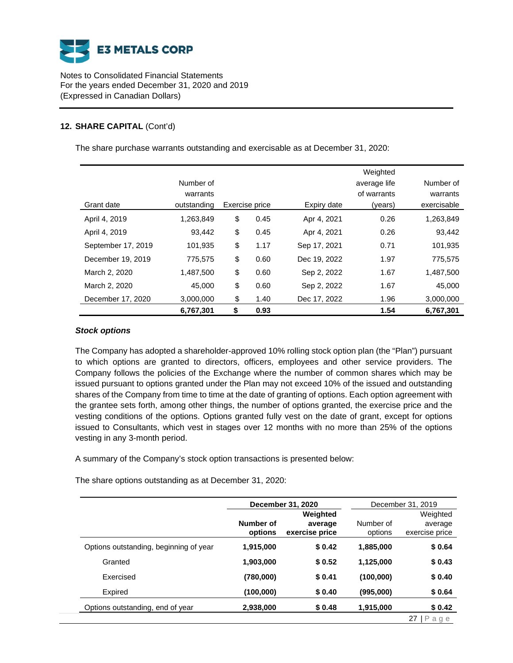

## **12. SHARE CAPITAL** (Cont'd)

The share purchase warrants outstanding and exercisable as at December 31, 2020:

|                    |             |                |              | Weighted     |             |
|--------------------|-------------|----------------|--------------|--------------|-------------|
|                    | Number of   |                |              | average life | Number of   |
|                    | warrants    |                |              | of warrants  | warrants    |
| Grant date         | outstanding | Exercise price | Expiry date  | (years)      | exercisable |
| April 4, 2019      | 1,263,849   | \$<br>0.45     | Apr 4, 2021  | 0.26         | 1,263,849   |
| April 4, 2019      | 93,442      | \$<br>0.45     | Apr 4, 2021  | 0.26         | 93,442      |
| September 17, 2019 | 101,935     | \$<br>1.17     | Sep 17, 2021 | 0.71         | 101,935     |
| December 19, 2019  | 775,575     | \$<br>0.60     | Dec 19, 2022 | 1.97         | 775,575     |
| March 2, 2020      | 1,487,500   | \$<br>0.60     | Sep 2, 2022  | 1.67         | 1,487,500   |
| March 2, 2020      | 45.000      | \$<br>0.60     | Sep 2, 2022  | 1.67         | 45,000      |
| December 17, 2020  | 3,000,000   | \$<br>1.40     | Dec 17, 2022 | 1.96         | 3,000,000   |
|                    | 6,767,301   | \$<br>0.93     |              | 1.54         | 6,767,301   |

#### *Stock options*

The Company has adopted a shareholder-approved 10% rolling stock option plan (the "Plan") pursuant to which options are granted to directors, officers, employees and other service providers. The Company follows the policies of the Exchange where the number of common shares which may be issued pursuant to options granted under the Plan may not exceed 10% of the issued and outstanding shares of the Company from time to time at the date of granting of options. Each option agreement with the grantee sets forth, among other things, the number of options granted, the exercise price and the vesting conditions of the options. Options granted fully vest on the date of grant, except for options issued to Consultants, which vest in stages over 12 months with no more than 25% of the options vesting in any 3-month period.

A summary of the Company's stock option transactions is presented below:

The share options outstanding as at December 31, 2020:

|                                        | December 31, 2020    |                                       |                      | December 31, 2019                     |
|----------------------------------------|----------------------|---------------------------------------|----------------------|---------------------------------------|
|                                        | Number of<br>options | Weighted<br>average<br>exercise price | Number of<br>options | Weighted<br>average<br>exercise price |
| Options outstanding, beginning of year | 1,915,000            | \$0.42                                | 1,885,000            | \$0.64                                |
| Granted                                | 1,903,000            | \$0.52                                | 1,125,000            | \$0.43                                |
| Exercised                              | (780,000)            | \$0.41                                | (100,000)            | \$0.40                                |
| Expired                                | (100,000)            | \$0.40                                | (995,000)            | \$0.64                                |
| Options outstanding, end of year       | 2,938,000            | \$0.48                                | 1,915,000            | \$0.42                                |
|                                        |                      |                                       |                      | 27<br>Page                            |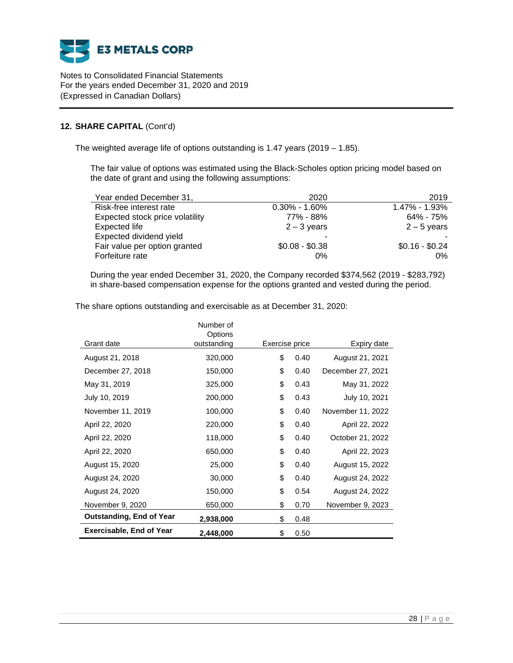

## **12. SHARE CAPITAL** (Cont'd)

The weighted average life of options outstanding is 1.47 years (2019 – 1.85).

The fair value of options was estimated using the Black-Scholes option pricing model based on the date of grant and using the following assumptions:

| Year ended December 31,         | 2020             | 2019              |
|---------------------------------|------------------|-------------------|
| Risk-free interest rate         | $0.30\%$ - 1.60% | $1.47\% - 1.93\%$ |
| Expected stock price volatility | 77% - 88%        | 64% - 75%         |
| Expected life                   | $2 - 3$ years    | $2 - 5$ years     |
| Expected dividend yield         |                  |                   |
| Fair value per option granted   | $$0.08 - $0.38$  | $$0.16 - $0.24$   |
| Forfeiture rate                 | 0%               | $0\%$             |

During the year ended December 31, 2020, the Company recorded \$374,562 (2019 - \$283,792) in share-based compensation expense for the options granted and vested during the period.

|                                 | Number of<br>Options |                |      |                   |
|---------------------------------|----------------------|----------------|------|-------------------|
| Grant date                      | outstanding          | Exercise price |      | Expiry date       |
| August 21, 2018                 | 320,000              | \$             | 0.40 | August 21, 2021   |
| December 27, 2018               | 150,000              | \$             | 0.40 | December 27, 2021 |
| May 31, 2019                    | 325,000              | \$             | 0.43 | May 31, 2022      |
| July 10, 2019                   | 200,000              | \$             | 0.43 | July 10, 2021     |
| November 11, 2019               | 100,000              | \$             | 0.40 | November 11, 2022 |
| April 22, 2020                  | 220,000              | \$             | 0.40 | April 22, 2022    |
| April 22, 2020                  | 118,000              | \$             | 0.40 | October 21, 2022  |
| April 22, 2020                  | 650,000              | \$             | 0.40 | April 22, 2023    |
| August 15, 2020                 | 25,000               | \$             | 0.40 | August 15, 2022   |
| August 24, 2020                 | 30,000               | \$             | 0.40 | August 24, 2022   |
| August 24, 2020                 | 150,000              | \$             | 0.54 | August 24, 2022   |
| November 9, 2020                | 650,000              | \$             | 0.70 | November 9, 2023  |
| <b>Outstanding, End of Year</b> | 2,938,000            | \$             | 0.48 |                   |
| <b>Exercisable, End of Year</b> | 2,448,000            | \$             | 0.50 |                   |

The share options outstanding and exercisable as at December 31, 2020: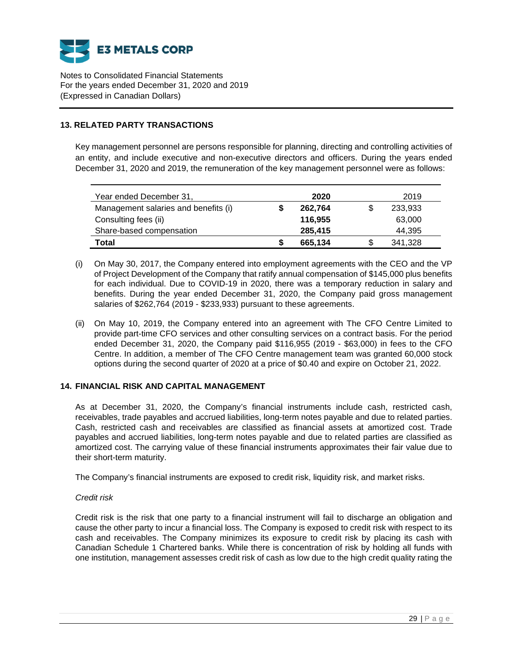

# **13. RELATED PARTY TRANSACTIONS**

Key management personnel are persons responsible for planning, directing and controlling activities of an entity, and include executive and non-executive directors and officers. During the years ended December 31, 2020 and 2019, the remuneration of the key management personnel were as follows:

| Year ended December 31,              | 2020    |    | 2019    |
|--------------------------------------|---------|----|---------|
| Management salaries and benefits (i) | 262,764 | \$ | 233,933 |
| Consulting fees (ii)                 | 116.955 |    | 63,000  |
| Share-based compensation             | 285,415 |    | 44,395  |
| Total                                | 665,134 | S  | 341,328 |

- (i) On May 30, 2017, the Company entered into employment agreements with the CEO and the VP of Project Development of the Company that ratify annual compensation of \$145,000 plus benefits for each individual. Due to COVID-19 in 2020, there was a temporary reduction in salary and benefits. During the year ended December 31, 2020, the Company paid gross management salaries of \$262,764 (2019 - \$233,933) pursuant to these agreements.
- (ii) On May 10, 2019, the Company entered into an agreement with The CFO Centre Limited to provide part-time CFO services and other consulting services on a contract basis. For the period ended December 31, 2020, the Company paid \$116,955 (2019 - \$63,000) in fees to the CFO Centre. In addition, a member of The CFO Centre management team was granted 60,000 stock options during the second quarter of 2020 at a price of \$0.40 and expire on October 21, 2022.

# **14. FINANCIAL RISK AND CAPITAL MANAGEMENT**

As at December 31, 2020, the Company's financial instruments include cash, restricted cash, receivables, trade payables and accrued liabilities, long-term notes payable and due to related parties. Cash, restricted cash and receivables are classified as financial assets at amortized cost. Trade payables and accrued liabilities, long-term notes payable and due to related parties are classified as amortized cost. The carrying value of these financial instruments approximates their fair value due to their short-term maturity.

The Company's financial instruments are exposed to credit risk, liquidity risk, and market risks.

### *Credit risk*

Credit risk is the risk that one party to a financial instrument will fail to discharge an obligation and cause the other party to incur a financial loss. The Company is exposed to credit risk with respect to its cash and receivables. The Company minimizes its exposure to credit risk by placing its cash with Canadian Schedule 1 Chartered banks. While there is concentration of risk by holding all funds with one institution, management assesses credit risk of cash as low due to the high credit quality rating the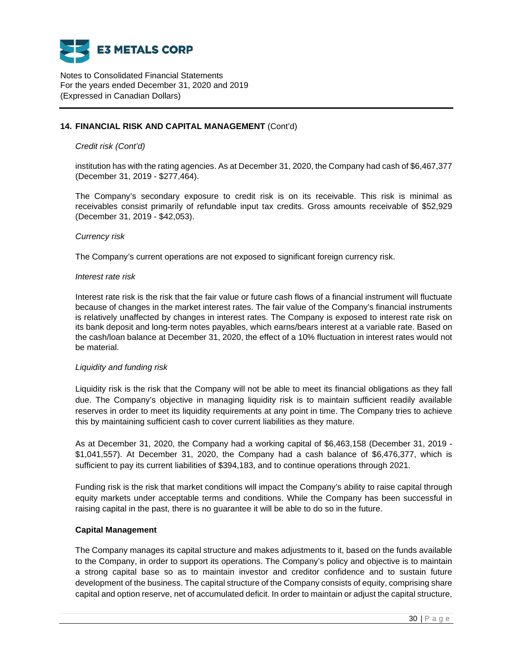

## **14. FINANCIAL RISK AND CAPITAL MANAGEMENT** (Cont'd)

#### *Credit risk (Cont'd)*

institution has with the rating agencies. As at December 31, 2020, the Company had cash of \$6,467,377 (December 31, 2019 - \$277,464).

The Company's secondary exposure to credit risk is on its receivable. This risk is minimal as receivables consist primarily of refundable input tax credits. Gross amounts receivable of \$52,929 (December 31, 2019 - \$42,053).

#### *Currency risk*

The Company's current operations are not exposed to significant foreign currency risk.

#### *Interest rate risk*

Interest rate risk is the risk that the fair value or future cash flows of a financial instrument will fluctuate because of changes in the market interest rates. The fair value of the Company's financial instruments is relatively unaffected by changes in interest rates. The Company is exposed to interest rate risk on its bank deposit and long-term notes payables, which earns/bears interest at a variable rate. Based on the cash/loan balance at December 31, 2020, the effect of a 10% fluctuation in interest rates would not be material.

### *Liquidity and funding risk*

Liquidity risk is the risk that the Company will not be able to meet its financial obligations as they fall due. The Company's objective in managing liquidity risk is to maintain sufficient readily available reserves in order to meet its liquidity requirements at any point in time. The Company tries to achieve this by maintaining sufficient cash to cover current liabilities as they mature.

As at December 31, 2020, the Company had a working capital of \$6,463,158 (December 31, 2019 - \$1,041,557). At December 31, 2020, the Company had a cash balance of \$6,476,377, which is sufficient to pay its current liabilities of \$394,183, and to continue operations through 2021.

Funding risk is the risk that market conditions will impact the Company's ability to raise capital through equity markets under acceptable terms and conditions. While the Company has been successful in raising capital in the past, there is no guarantee it will be able to do so in the future.

### **Capital Management**

The Company manages its capital structure and makes adjustments to it, based on the funds available to the Company, in order to support its operations. The Company's policy and objective is to maintain a strong capital base so as to maintain investor and creditor confidence and to sustain future development of the business. The capital structure of the Company consists of equity, comprising share capital and option reserve, net of accumulated deficit. In order to maintain or adjust the capital structure,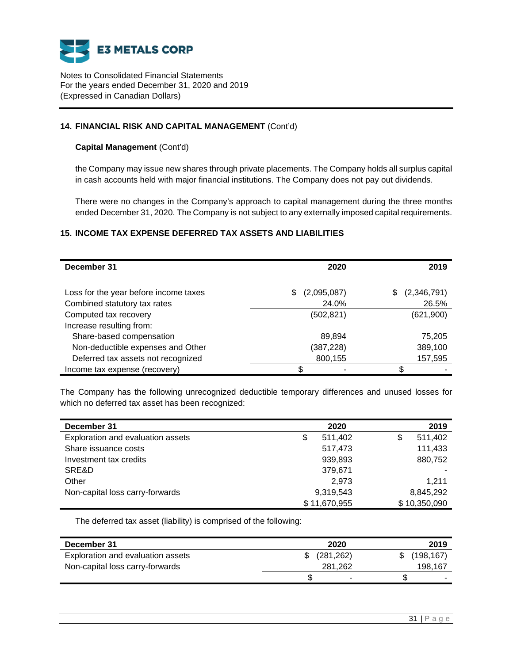

## **14. FINANCIAL RISK AND CAPITAL MANAGEMENT** (Cont'd)

# **Capital Management** (Cont'd)

the Company may issue new shares through private placements. The Company holds all surplus capital in cash accounts held with major financial institutions. The Company does not pay out dividends.

There were no changes in the Company's approach to capital management during the three months ended December 31, 2020. The Company is not subject to any externally imposed capital requirements.

## **15. INCOME TAX EXPENSE DEFERRED TAX ASSETS AND LIABILITIES**

| December 31                           | 2020              | 2019             |
|---------------------------------------|-------------------|------------------|
|                                       |                   |                  |
| Loss for the year before income taxes | (2,095,087)<br>\$ | (2,346,791)<br>S |
| Combined statutory tax rates          | 24.0%             | 26.5%            |
| Computed tax recovery                 | (502, 821)        | (621,900)        |
| Increase resulting from:              |                   |                  |
| Share-based compensation              | 89,894            | 75,205           |
| Non-deductible expenses and Other     | (387, 228)        | 389,100          |
| Deferred tax assets not recognized    | 800,155           | 157,595          |
| Income tax expense (recovery)         |                   |                  |

The Company has the following unrecognized deductible temporary differences and unused losses for which no deferred tax asset has been recognized:

| December 31                       | 2020          | 2019         |
|-----------------------------------|---------------|--------------|
| Exploration and evaluation assets | 511.402<br>\$ | 511,402      |
| Share issuance costs              | 517,473       | 111,433      |
| Investment tax credits            | 939,893       | 880,752      |
| SRE&D                             | 379,671       |              |
| Other                             | 2.973         | 1.211        |
| Non-capital loss carry-forwards   | 9,319,543     | 8,845,292    |
|                                   | \$11,670,955  | \$10,350,090 |

The deferred tax asset (liability) is comprised of the following:

| December 31                       | 2020       | 2019       |
|-----------------------------------|------------|------------|
| Exploration and evaluation assets | (281, 262) | (198, 167) |
| Non-capital loss carry-forwards   | 281.262    | 198,167    |
|                                   | ۰          |            |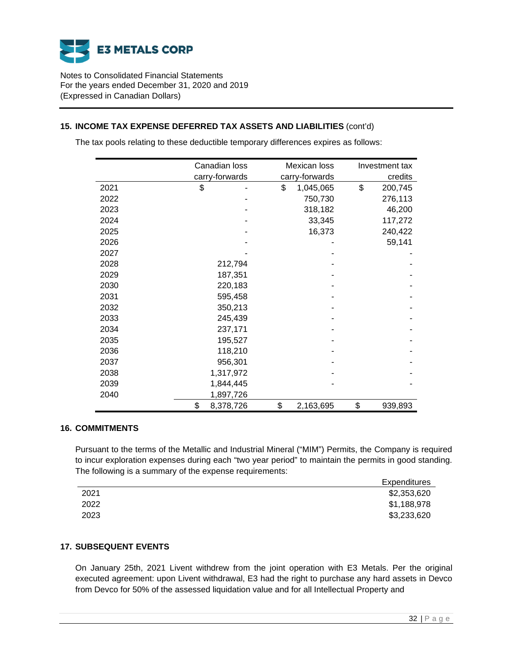

# **15. INCOME TAX EXPENSE DEFERRED TAX ASSETS AND LIABILITIES** (cont'd)

The tax pools relating to these deductible temporary differences expires as follows:

|      | Canadian loss   | Mexican loss    | Investment tax |
|------|-----------------|-----------------|----------------|
|      | carry-forwards  | carry-forwards  | credits        |
| 2021 | \$              | \$<br>1,045,065 | \$<br>200,745  |
| 2022 |                 | 750,730         | 276,113        |
| 2023 |                 | 318,182         | 46,200         |
| 2024 |                 | 33,345          | 117,272        |
| 2025 |                 | 16,373          | 240,422        |
| 2026 |                 |                 | 59,141         |
| 2027 |                 |                 |                |
| 2028 | 212,794         |                 |                |
| 2029 | 187,351         |                 |                |
| 2030 | 220,183         |                 |                |
| 2031 | 595,458         |                 |                |
| 2032 | 350,213         |                 |                |
| 2033 | 245,439         |                 |                |
| 2034 | 237,171         |                 |                |
| 2035 | 195,527         |                 |                |
| 2036 | 118,210         |                 |                |
| 2037 | 956,301         |                 |                |
| 2038 | 1,317,972       |                 |                |
| 2039 | 1,844,445       |                 |                |
| 2040 | 1,897,726       |                 |                |
|      | \$<br>8,378,726 | \$<br>2,163,695 | \$<br>939,893  |

## **16. COMMITMENTS**

Pursuant to the terms of the Metallic and Industrial Mineral ("MIM") Permits, the Company is required to incur exploration expenses during each "two year period" to maintain the permits in good standing. The following is a summary of the expense requirements:

|      | Expenditures |
|------|--------------|
| 2021 | \$2,353,620  |
| 2022 | \$1,188,978  |
| 2023 | \$3,233,620  |

### **17. SUBSEQUENT EVENTS**

On January 25th, 2021 Livent withdrew from the joint operation with E3 Metals. Per the original executed agreement: upon Livent withdrawal, E3 had the right to purchase any hard assets in Devco from Devco for 50% of the assessed liquidation value and for all Intellectual Property and